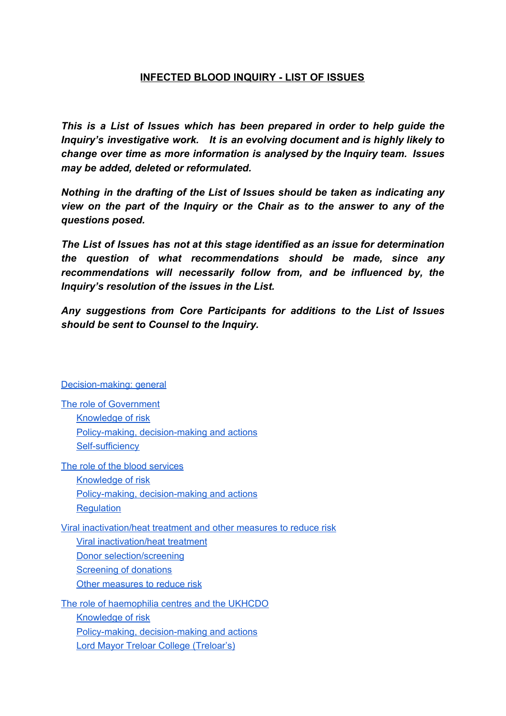# **INFECTED BLOOD INQUIRY - LIST OF ISSUES**

*This is a List of Issues which has been prepared in order to help guide the Inquiry's investigative work. It is an evolving document and is highly likely to change over time as more information is analysed by the Inquiry team. Issues may be added, deleted or reformulated.*

*Nothing in the drafting of the List of Issues should be taken as indicating any view on the part of the Inquiry or the Chair as to the answer to any of the questions posed.*

*The List of Issues has not at this stage identified as an issue for determination the question of what recommendations should be made, since any recommendations will necessarily follow from, and be influenced by, the Inquiry's resolution of the issues in the List.*

*Any suggestions from Core Participants for additions to the List of Issues should be sent to Counsel to the Inquiry.*

#### [Decision-making:](#page-3-0) general

| The role of Government                                              |
|---------------------------------------------------------------------|
| <b>Knowledge of risk</b>                                            |
| Policy-making, decision-making and actions                          |
| <b>Self-sufficiency</b>                                             |
| The role of the blood services                                      |
| <b>Knowledge of risk</b>                                            |
| <b>Policy-making, decision-making and actions</b>                   |
| <b>Regulation</b>                                                   |
| Viral inactivation/heat treatment and other measures to reduce risk |
| Viral inactivation/heat treatment                                   |
| Donor selection/screening                                           |
| <b>Screening of donations</b>                                       |
| Other measures to reduce risk                                       |
| The role of haemophilia centres and the UKHCDO                      |
| <b>Knowledge of risk</b>                                            |
| Policy-making, decision-making and actions                          |
| Lord Mayor Treloar College (Treloar's)                              |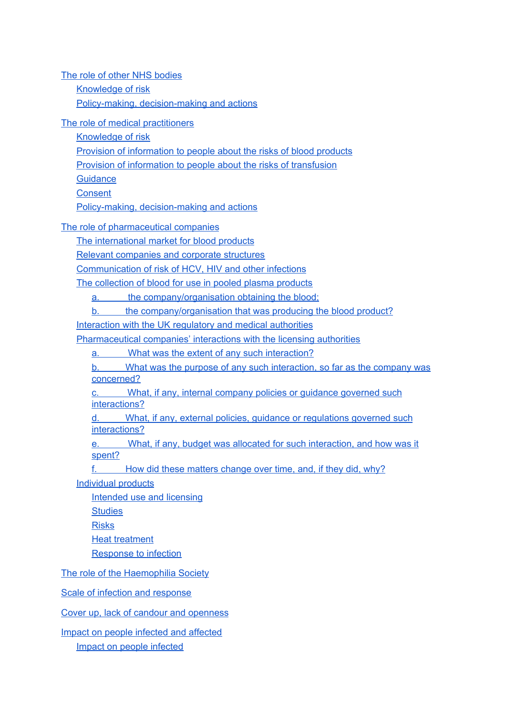The role of other NHS [bodies](#page-24-0) [Knowledge](#page-24-1) of risk Policy-making, [decision-making](#page-25-0) and actions The role of medical [practitioners](#page-27-0) [Knowledge](#page-27-1) of risk Provision of [information](#page-27-2) to people about the risks of blood products Provision of [information](#page-28-0) to people about the risks of transfusion **[Guidance](#page-28-1) [Consent](#page-28-2)** Policy-making, [decision-making](#page-29-0) and actions The role of [pharmaceutical](#page-33-0) companies The [international](#page-33-1) market for blood products Relevant [companies](#page-33-2) and corporate structures [Communication](#page-35-0) of risk of HCV, HIV and other infections The [collection](#page-35-1) of blood for use in pooled plasma products a. the company/organisation obtaining the blood; b. the company/organisation that was producing the blood product? [Interaction](#page-36-0) with the UK regulatory and medical authorities [Pharmaceutical](#page-37-0) companies' interactions with the licensing authorities a. What was the extent of any such interaction? b. What was the purpose of any such interaction, so far as the company was concerned? What, if any, internal company policies or guidance governed such interactions? d. What, if any, external policies, guidance or regulations governed such interactions? e. What, if any, budget was allocated for such interaction, and how was it spent? f. How did these matters change over time, and, if they did, why? [Individual](#page-38-0) products [Intended](#page-39-0) use and licensing

**[Studies](#page-40-0)** [Risks](#page-40-1)

Heat [treatment](#page-41-0)

[Response](#page-41-1) to infection

The role of the [Haemophilia](#page-43-0) Society

Scale of infection and [response](#page-44-0)

Cover up, lack of candour and [openness](#page-48-0)

Impact on people infected and [affected](#page-52-0) Impact on people [infected](#page-52-1)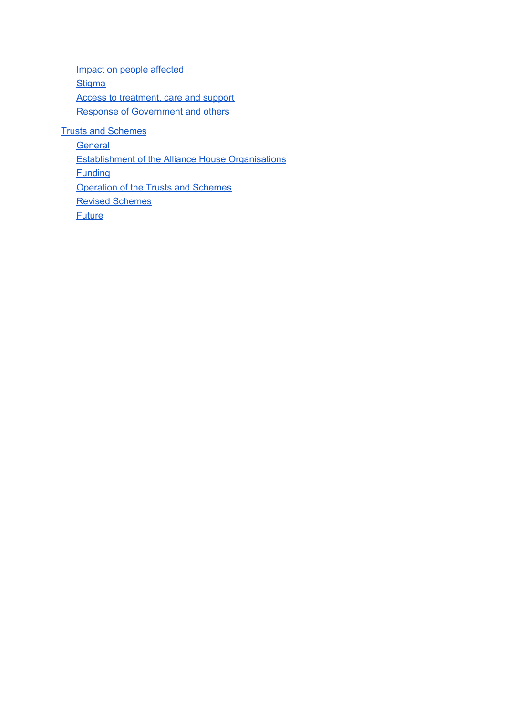Impact on people [affected](#page-53-0) **[Stigma](#page-54-0)** Access to [treatment,](#page-54-1) care and support Response of [Government](#page-55-0) and others

Trusts and [Schemes](#page-56-0)

**[General](#page-56-1)** [Establishment](#page-56-2) of the Alliance House Organisations **[Funding](#page-58-0)** Operation of the Trusts and Schemes Revised [Schemes](#page-62-0) **[Future](#page-63-0)**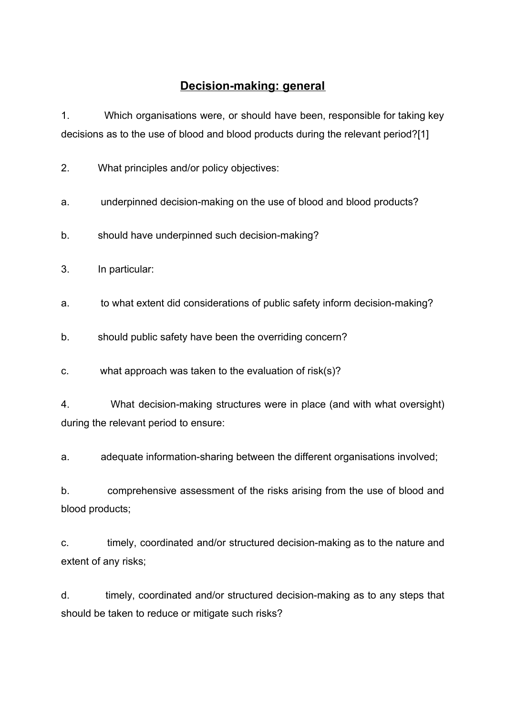# **Decision-making: general**

<span id="page-3-0"></span>1. Which organisations were, or should have been, responsible for taking key decisions as to the use of blood and blood products during the relevant period?[1]

2. What principles and/or policy objectives:

a. underpinned decision-making on the use of blood and blood products?

b. should have underpinned such decision-making?

3. In particular:

a. to what extent did considerations of public safety inform decision-making?

b. should public safety have been the overriding concern?

c. what approach was taken to the evaluation of risk(s)?

4. What decision-making structures were in place (and with what oversight) during the relevant period to ensure:

a. adequate information-sharing between the different organisations involved;

b. comprehensive assessment of the risks arising from the use of blood and blood products;

c. timely, coordinated and/or structured decision-making as to the nature and extent of any risks;

d. timely, coordinated and/or structured decision-making as to any steps that should be taken to reduce or mitigate such risks?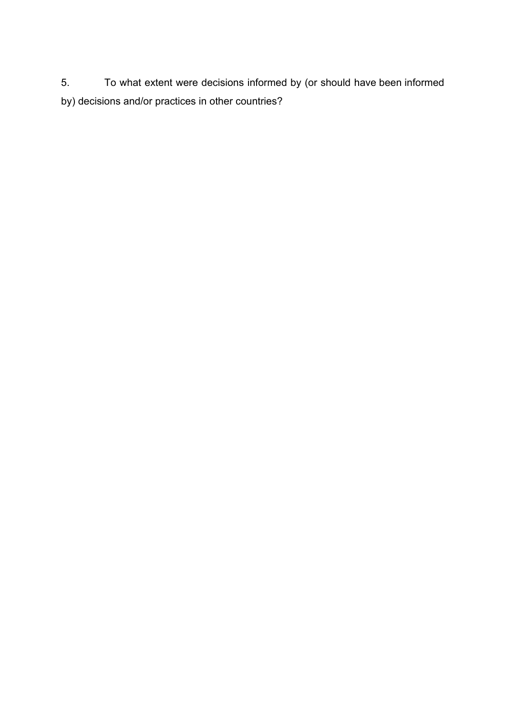5. To what extent were decisions informed by (or should have been informed by) decisions and/or practices in other countries?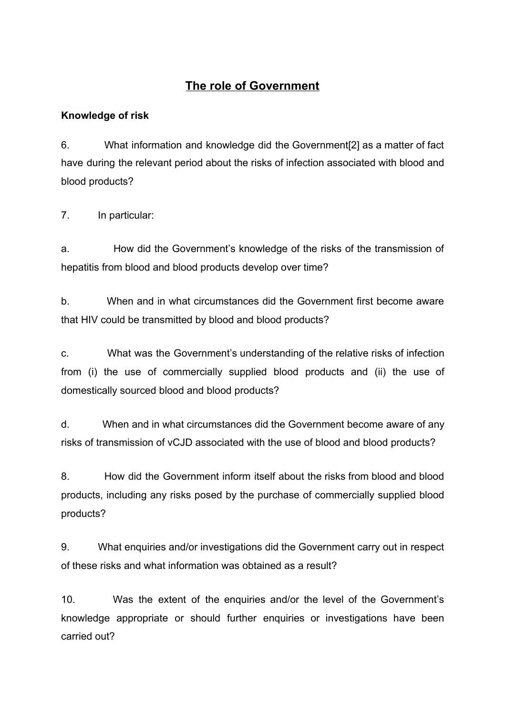# **The role of Government**

# <span id="page-5-1"></span><span id="page-5-0"></span>**Knowledge of risk**

6. What information and knowledge did the Government[2] as a matter of fact have during the relevant period about the risks of infection associated with blood and blood products?

7. In particular:

a. How did the Government's knowledge of the risks of the transmission of hepatitis from blood and blood products develop over time?

b. When and in what circumstances did the Government first become aware that HIV could be transmitted by blood and blood products?

c. What was the Government's understanding of the relative risks of infection from (i) the use of commercially supplied blood products and (ii) the use of domestically sourced blood and blood products?

d. When and in what circumstances did the Government become aware of any risks of transmission of vCJD associated with the use of blood and blood products?

8. How did the Government inform itself about the risks from blood and blood products, including any risks posed by the purchase of commercially supplied blood products?

9. What enquiries and/or investigations did the Government carry out in respect of these risks and what information was obtained as a result?

10. Was the extent of the enquiries and/or the level of the Government's knowledge appropriate or should further enquiries or investigations have been carried out?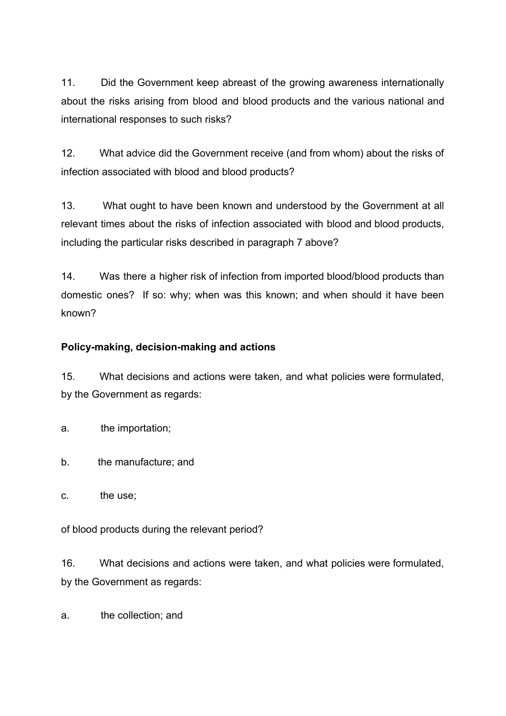11. Did the Government keep abreast of the growing awareness internationally about the risks arising from blood and blood products and the various national and international responses to such risks?

12. What advice did the Government receive (and from whom) about the risks of infection associated with blood and blood products?

13. What ought to have been known and understood by the Government at all relevant times about the risks of infection associated with blood and blood products, including the particular risks described in paragraph 7 above?

14. Was there a higher risk of infection from imported blood/blood products than domestic ones? If so: why; when was this known; and when should it have been known?

## <span id="page-6-0"></span>**Policy-making, decision-making and actions**

15. What decisions and actions were taken, and what policies were formulated, by the Government as regards:

a. the importation;

b. the manufacture; and

c. the use;

of blood products during the relevant period?

16. What decisions and actions were taken, and what policies were formulated, by the Government as regards:

a. the collection; and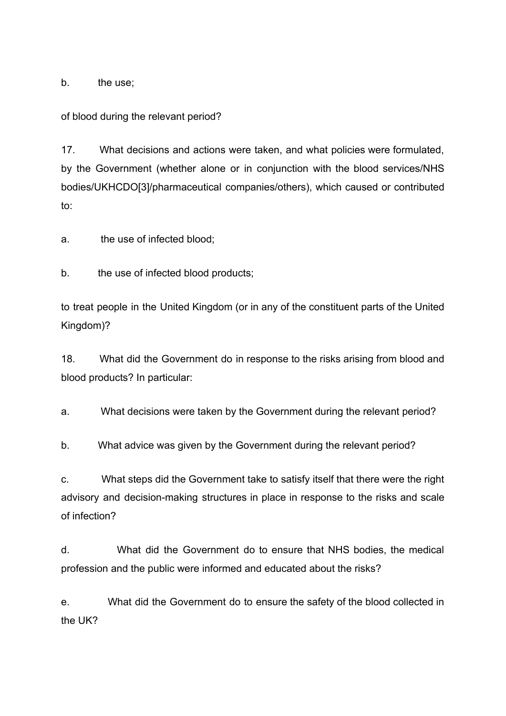b. the use:

of blood during the relevant period?

17. What decisions and actions were taken, and what policies were formulated, by the Government (whether alone or in conjunction with the blood services/NHS bodies/UKHCDO[3]/pharmaceutical companies/others), which caused or contributed to:

a. the use of infected blood;

b. the use of infected blood products;

to treat people in the United Kingdom (or in any of the constituent parts of the United Kingdom)?

18. What did the Government do in response to the risks arising from blood and blood products? In particular:

a. What decisions were taken by the Government during the relevant period?

b. What advice was given by the Government during the relevant period?

c. What steps did the Government take to satisfy itself that there were the right advisory and decision-making structures in place in response to the risks and scale of infection?

d. What did the Government do to ensure that NHS bodies, the medical profession and the public were informed and educated about the risks?

e. What did the Government do to ensure the safety of the blood collected in the UK?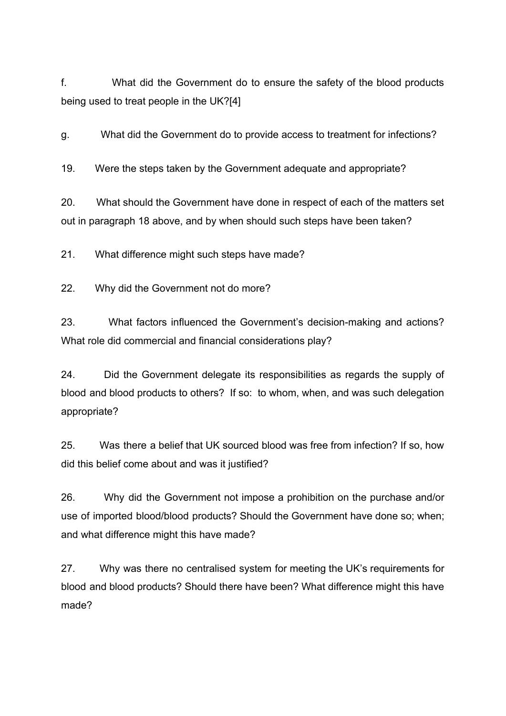f. What did the Government do to ensure the safety of the blood products being used to treat people in the UK?[4]

g. What did the Government do to provide access to treatment for infections?

19. Were the steps taken by the Government adequate and appropriate?

20. What should the Government have done in respect of each of the matters set out in paragraph 18 above, and by when should such steps have been taken?

21. What difference might such steps have made?

22. Why did the Government not do more?

23. What factors influenced the Government's decision-making and actions? What role did commercial and financial considerations play?

24. Did the Government delegate its responsibilities as regards the supply of blood and blood products to others? If so: to whom, when, and was such delegation appropriate?

25. Was there a belief that UK sourced blood was free from infection? If so, how did this belief come about and was it justified?

26. Why did the Government not impose a prohibition on the purchase and/or use of imported blood/blood products? Should the Government have done so; when; and what difference might this have made?

27. Why was there no centralised system for meeting the UK's requirements for blood and blood products? Should there have been? What difference might this have made?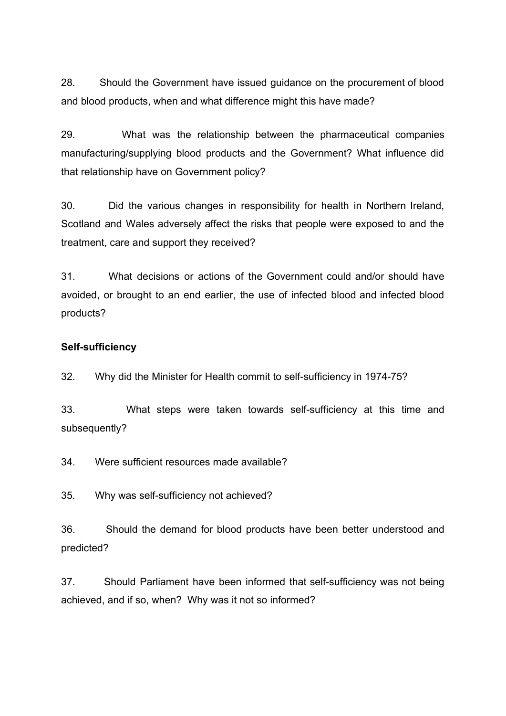28. Should the Government have issued guidance on the procurement of blood and blood products, when and what difference might this have made?

29. What was the relationship between the pharmaceutical companies manufacturing/supplying blood products and the Government? What influence did that relationship have on Government policy?

30. Did the various changes in responsibility for health in Northern Ireland, Scotland and Wales adversely affect the risks that people were exposed to and the treatment, care and support they received?

31. What decisions or actions of the Government could and/or should have avoided, or brought to an end earlier, the use of infected blood and infected blood products?

### <span id="page-9-0"></span>**Self-sufficiency**

32. Why did the Minister for Health commit to self-sufficiency in 1974-75?

33. What steps were taken towards self-sufficiency at this time and subsequently?

34. Were sufficient resources made available?

35. Why was self-sufficiency not achieved?

36. Should the demand for blood products have been better understood and predicted?

37. Should Parliament have been informed that self-sufficiency was not being achieved, and if so, when? Why was it not so informed?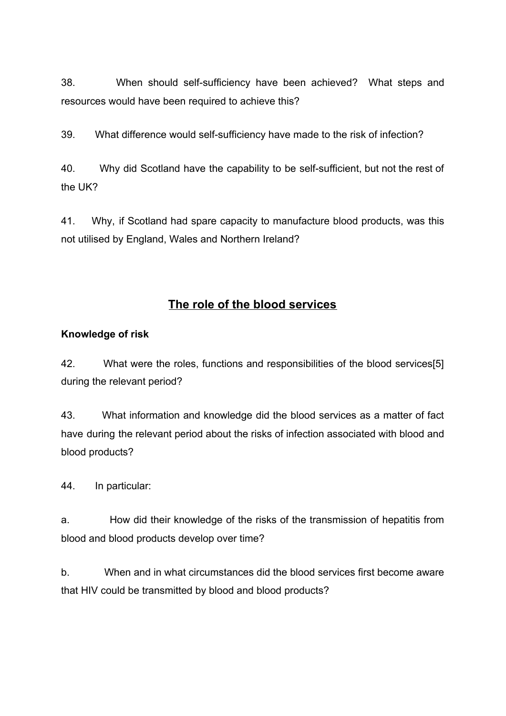38. When should self-sufficiency have been achieved? What steps and resources would have been required to achieve this?

39. What difference would self-sufficiency have made to the risk of infection?

40. Why did Scotland have the capability to be self-sufficient, but not the rest of the UK?

41. Why, if Scotland had spare capacity to manufacture blood products, was this not utilised by England, Wales and Northern Ireland?

# **The role of the blood services**

# <span id="page-10-1"></span><span id="page-10-0"></span>**Knowledge of risk**

42. What were the roles, functions and responsibilities of the blood services[5] during the relevant period?

43. What information and knowledge did the blood services as a matter of fact have during the relevant period about the risks of infection associated with blood and blood products?

44. In particular:

a. How did their knowledge of the risks of the transmission of hepatitis from blood and blood products develop over time?

b. When and in what circumstances did the blood services first become aware that HIV could be transmitted by blood and blood products?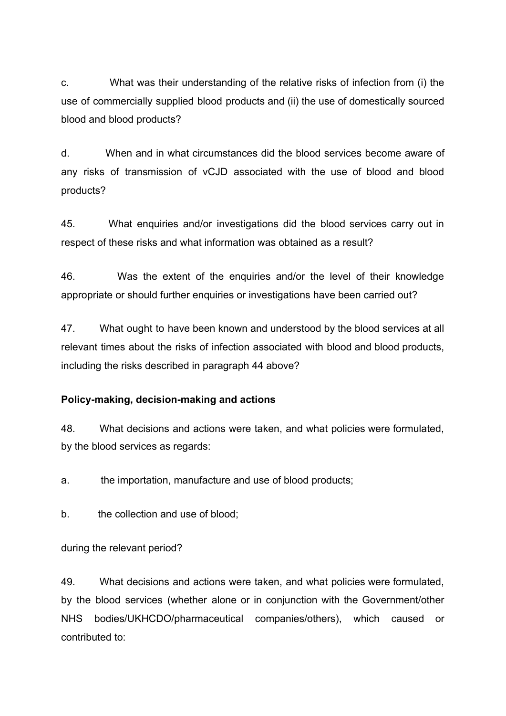c. What was their understanding of the relative risks of infection from (i) the use of commercially supplied blood products and (ii) the use of domestically sourced blood and blood products?

d. When and in what circumstances did the blood services become aware of any risks of transmission of vCJD associated with the use of blood and blood products?

45. What enquiries and/or investigations did the blood services carry out in respect of these risks and what information was obtained as a result?

46. Was the extent of the enquiries and/or the level of their knowledge appropriate or should further enquiries or investigations have been carried out?

47. What ought to have been known and understood by the blood services at all relevant times about the risks of infection associated with blood and blood products, including the risks described in paragraph 44 above?

#### <span id="page-11-0"></span>**Policy-making, decision-making and actions**

48. What decisions and actions were taken, and what policies were formulated, by the blood services as regards:

a. the importation, manufacture and use of blood products;

b. the collection and use of blood;

during the relevant period?

49. What decisions and actions were taken, and what policies were formulated, by the blood services (whether alone or in conjunction with the Government/other NHS bodies/UKHCDO/pharmaceutical companies/others), which caused or contributed to: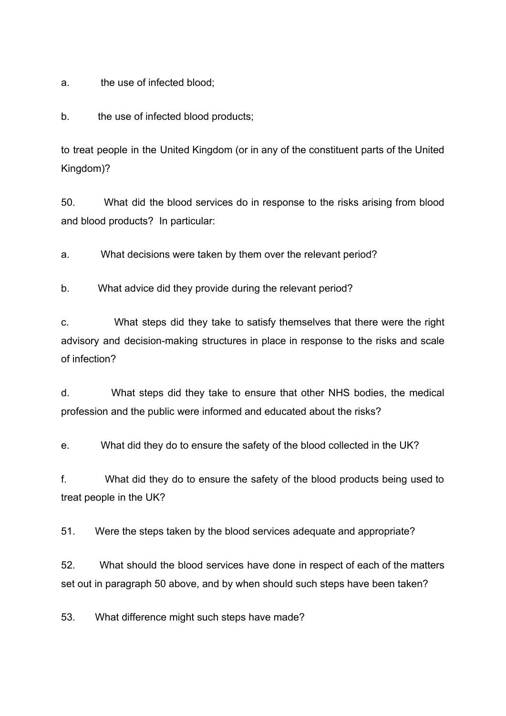a. the use of infected blood;

b. the use of infected blood products;

to treat people in the United Kingdom (or in any of the constituent parts of the United Kingdom)?

50. What did the blood services do in response to the risks arising from blood and blood products? In particular:

a. What decisions were taken by them over the relevant period?

b. What advice did they provide during the relevant period?

c. What steps did they take to satisfy themselves that there were the right advisory and decision-making structures in place in response to the risks and scale of infection?

d. What steps did they take to ensure that other NHS bodies, the medical profession and the public were informed and educated about the risks?

e. What did they do to ensure the safety of the blood collected in the UK?

f. What did they do to ensure the safety of the blood products being used to treat people in the UK?

51. Were the steps taken by the blood services adequate and appropriate?

52. What should the blood services have done in respect of each of the matters set out in paragraph 50 above, and by when should such steps have been taken?

53. What difference might such steps have made?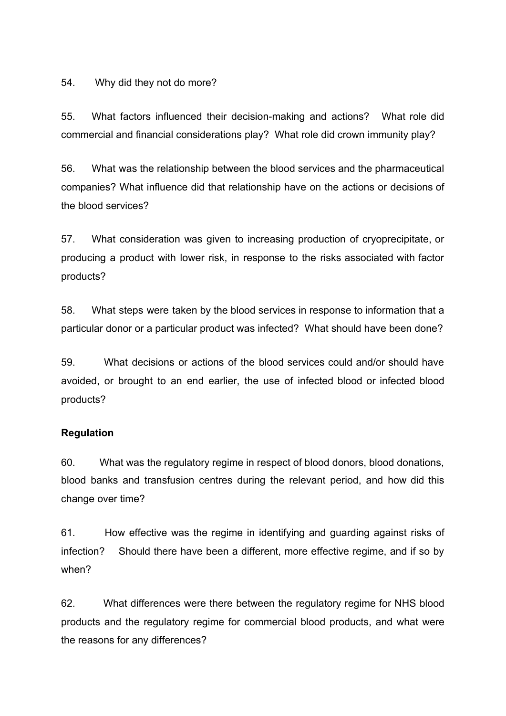54. Why did they not do more?

55. What factors influenced their decision-making and actions? What role did commercial and financial considerations play? What role did crown immunity play?

56. What was the relationship between the blood services and the pharmaceutical companies? What influence did that relationship have on the actions or decisions of the blood services?

57. What consideration was given to increasing production of cryoprecipitate, or producing a product with lower risk, in response to the risks associated with factor products?

58. What steps were taken by the blood services in response to information that a particular donor or a particular product was infected? What should have been done?

59. What decisions or actions of the blood services could and/or should have avoided, or brought to an end earlier, the use of infected blood or infected blood products?

#### <span id="page-13-0"></span>**Regulation**

60. What was the regulatory regime in respect of blood donors, blood donations, blood banks and transfusion centres during the relevant period, and how did this change over time?

61. How effective was the regime in identifying and guarding against risks of infection? Should there have been a different, more effective regime, and if so by when?

62. What differences were there between the regulatory regime for NHS blood products and the regulatory regime for commercial blood products, and what were the reasons for any differences?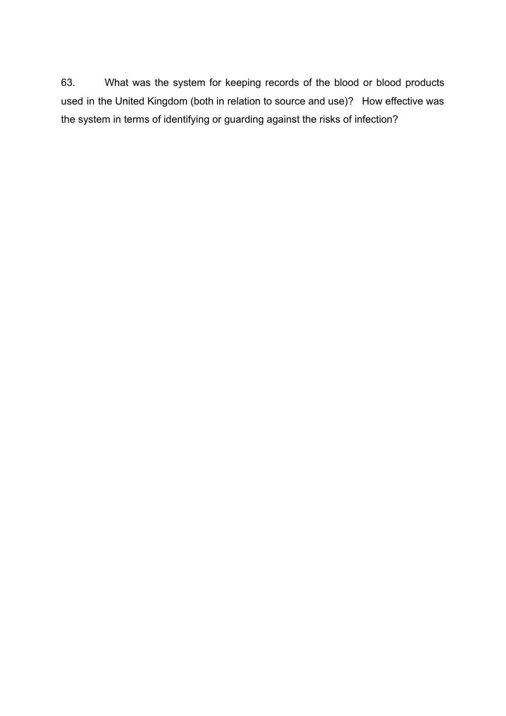63. What was the system for keeping records of the blood or blood products used in the United Kingdom (both in relation to source and use)? How effective was the system in terms of identifying or guarding against the risks of infection?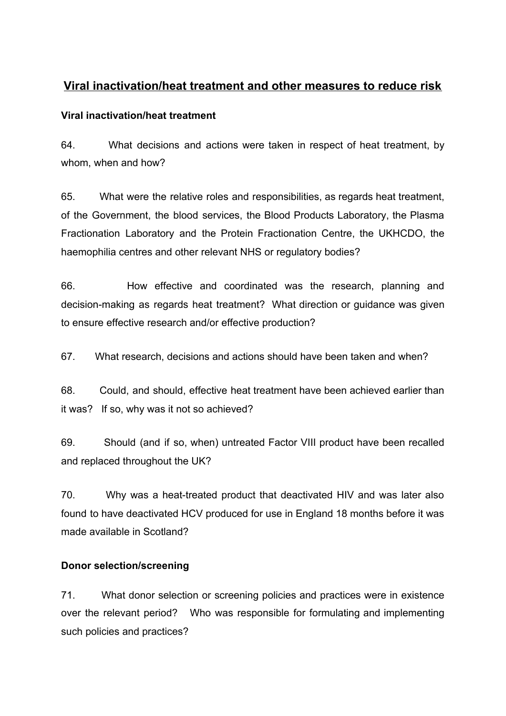# <span id="page-15-0"></span>**Viral inactivation/heat treatment and other measures to reduce risk**

## <span id="page-15-1"></span>**Viral inactivation/heat treatment**

64. What decisions and actions were taken in respect of heat treatment, by whom, when and how?

65. What were the relative roles and responsibilities, as regards heat treatment, of the Government, the blood services, the Blood Products Laboratory, the Plasma Fractionation Laboratory and the Protein Fractionation Centre, the UKHCDO, the haemophilia centres and other relevant NHS or regulatory bodies?

66. How effective and coordinated was the research, planning and decision-making as regards heat treatment? What direction or guidance was given to ensure effective research and/or effective production?

67. What research, decisions and actions should have been taken and when?

68. Could, and should, effective heat treatment have been achieved earlier than it was? If so, why was it not so achieved?

69. Should (and if so, when) untreated Factor VIII product have been recalled and replaced throughout the UK?

70. Why was a heat-treated product that deactivated HIV and was later also found to have deactivated HCV produced for use in England 18 months before it was made available in Scotland?

# <span id="page-15-2"></span>**Donor selection/screening**

71. What donor selection or screening policies and practices were in existence over the relevant period? Who was responsible for formulating and implementing such policies and practices?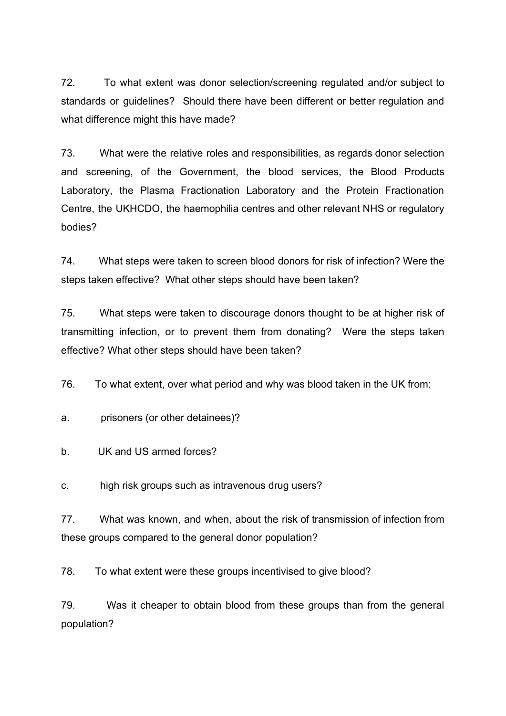72. To what extent was donor selection/screening regulated and/or subject to standards or guidelines? Should there have been different or better regulation and what difference might this have made?

73. What were the relative roles and responsibilities, as regards donor selection and screening, of the Government, the blood services, the Blood Products Laboratory, the Plasma Fractionation Laboratory and the Protein Fractionation Centre, the UKHCDO, the haemophilia centres and other relevant NHS or regulatory bodies?

74. What steps were taken to screen blood donors for risk of infection? Were the steps taken effective? What other steps should have been taken?

75. What steps were taken to discourage donors thought to be at higher risk of transmitting infection, or to prevent them from donating? Were the steps taken effective? What other steps should have been taken?

76. To what extent, over what period and why was blood taken in the UK from:

a. prisoners (or other detainees)?

b. UK and US armed forces?

c. high risk groups such as intravenous drug users?

77. What was known, and when, about the risk of transmission of infection from these groups compared to the general donor population?

78. To what extent were these groups incentivised to give blood?

79. Was it cheaper to obtain blood from these groups than from the general population?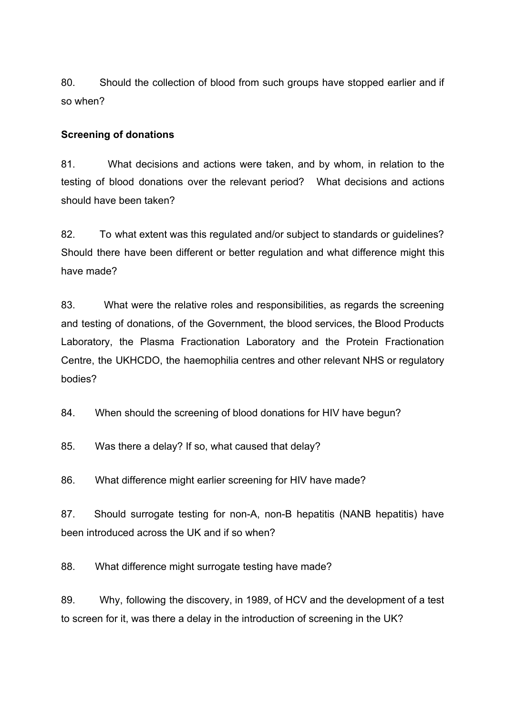80. Should the collection of blood from such groups have stopped earlier and if so when?

### <span id="page-17-0"></span>**Screening of donations**

81. What decisions and actions were taken, and by whom, in relation to the testing of blood donations over the relevant period? What decisions and actions should have been taken?

82. To what extent was this regulated and/or subject to standards or guidelines? Should there have been different or better regulation and what difference might this have made?

83. What were the relative roles and responsibilities, as regards the screening and testing of donations, of the Government, the blood services, the Blood Products Laboratory, the Plasma Fractionation Laboratory and the Protein Fractionation Centre, the UKHCDO, the haemophilia centres and other relevant NHS or regulatory bodies?

84. When should the screening of blood donations for HIV have begun?

85. Was there a delay? If so, what caused that delay?

86. What difference might earlier screening for HIV have made?

87. Should surrogate testing for non-A, non-B hepatitis (NANB hepatitis) have been introduced across the UK and if so when?

88. What difference might surrogate testing have made?

89. Why, following the discovery, in 1989, of HCV and the development of a test to screen for it, was there a delay in the introduction of screening in the UK?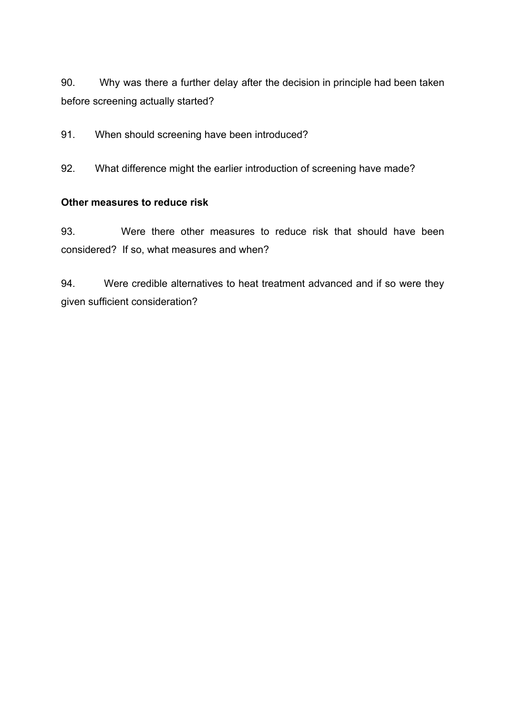90. Why was there a further delay after the decision in principle had been taken before screening actually started?

91. When should screening have been introduced?

92. What difference might the earlier introduction of screening have made?

## <span id="page-18-0"></span>**Other measures to reduce risk**

93. Were there other measures to reduce risk that should have been considered? If so, what measures and when?

94. Were credible alternatives to heat treatment advanced and if so were they given sufficient consideration?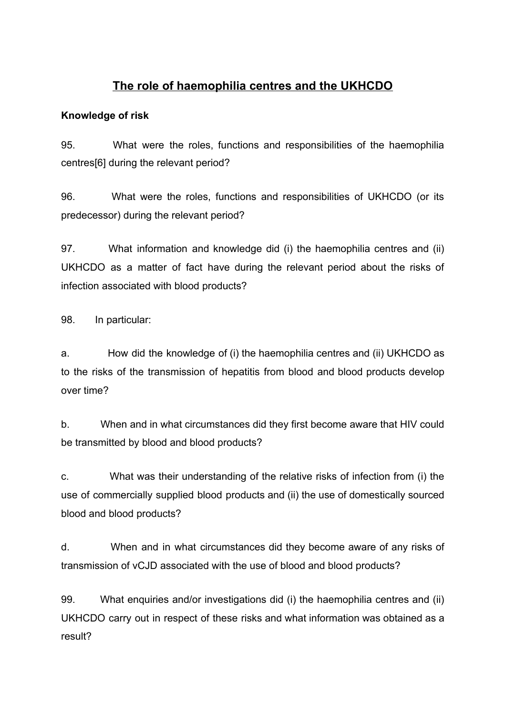# **The role of haemophilia centres and the UKHCDO**

# <span id="page-19-1"></span><span id="page-19-0"></span>**Knowledge of risk**

95. What were the roles, functions and responsibilities of the haemophilia centres[6] during the relevant period?

96. What were the roles, functions and responsibilities of UKHCDO (or its predecessor) during the relevant period?

97. What information and knowledge did (i) the haemophilia centres and (ii) UKHCDO as a matter of fact have during the relevant period about the risks of infection associated with blood products?

98. In particular:

a. How did the knowledge of (i) the haemophilia centres and (ii) UKHCDO as to the risks of the transmission of hepatitis from blood and blood products develop over time?

b. When and in what circumstances did they first become aware that HIV could be transmitted by blood and blood products?

c. What was their understanding of the relative risks of infection from (i) the use of commercially supplied blood products and (ii) the use of domestically sourced blood and blood products?

d. When and in what circumstances did they become aware of any risks of transmission of vCJD associated with the use of blood and blood products?

99. What enquiries and/or investigations did (i) the haemophilia centres and (ii) UKHCDO carry out in respect of these risks and what information was obtained as a result?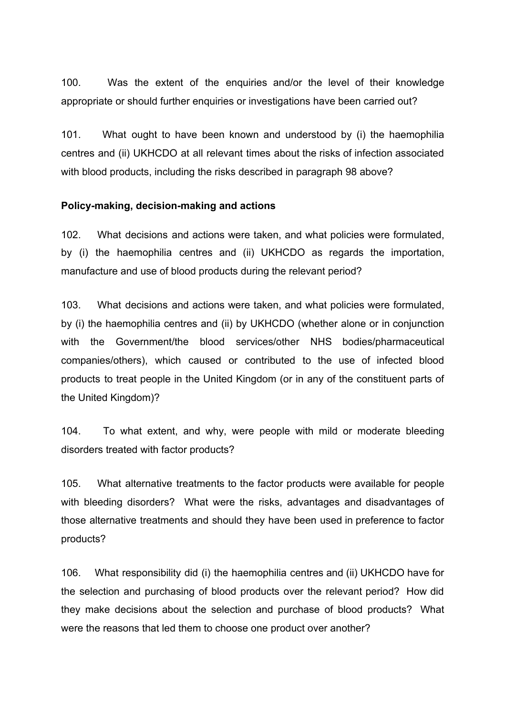100. Was the extent of the enquiries and/or the level of their knowledge appropriate or should further enquiries or investigations have been carried out?

101. What ought to have been known and understood by (i) the haemophilia centres and (ii) UKHCDO at all relevant times about the risks of infection associated with blood products, including the risks described in paragraph 98 above?

#### <span id="page-20-0"></span>**Policy-making, decision-making and actions**

102. What decisions and actions were taken, and what policies were formulated, by (i) the haemophilia centres and (ii) UKHCDO as regards the importation, manufacture and use of blood products during the relevant period?

103. What decisions and actions were taken, and what policies were formulated, by (i) the haemophilia centres and (ii) by UKHCDO (whether alone or in conjunction with the Government/the blood services/other NHS bodies/pharmaceutical companies/others), which caused or contributed to the use of infected blood products to treat people in the United Kingdom (or in any of the constituent parts of the United Kingdom)?

104. To what extent, and why, were people with mild or moderate bleeding disorders treated with factor products?

105. What alternative treatments to the factor products were available for people with bleeding disorders? What were the risks, advantages and disadvantages of those alternative treatments and should they have been used in preference to factor products?

106. What responsibility did (i) the haemophilia centres and (ii) UKHCDO have for the selection and purchasing of blood products over the relevant period? How did they make decisions about the selection and purchase of blood products? What were the reasons that led them to choose one product over another?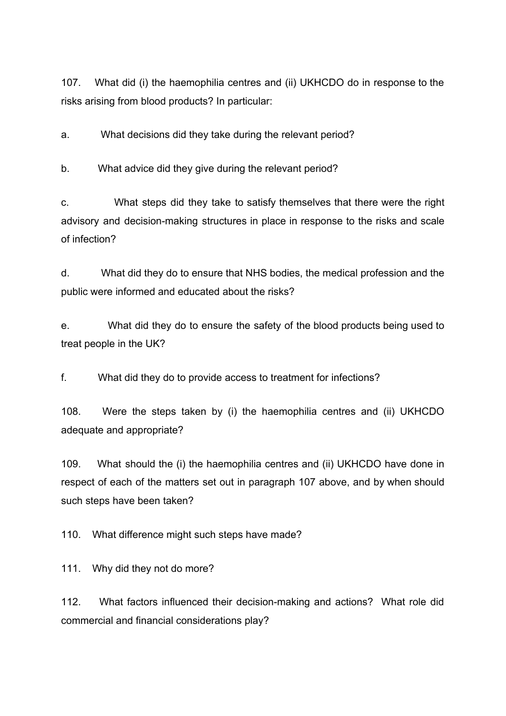107. What did (i) the haemophilia centres and (ii) UKHCDO do in response to the risks arising from blood products? In particular:

a. What decisions did they take during the relevant period?

b. What advice did they give during the relevant period?

c. What steps did they take to satisfy themselves that there were the right advisory and decision-making structures in place in response to the risks and scale of infection?

d. What did they do to ensure that NHS bodies, the medical profession and the public were informed and educated about the risks?

e. What did they do to ensure the safety of the blood products being used to treat people in the UK?

f. What did they do to provide access to treatment for infections?

108. Were the steps taken by (i) the haemophilia centres and (ii) UKHCDO adequate and appropriate?

109. What should the (i) the haemophilia centres and (ii) UKHCDO have done in respect of each of the matters set out in paragraph 107 above, and by when should such steps have been taken?

110. What difference might such steps have made?

111. Why did they not do more?

112. What factors influenced their decision-making and actions? What role did commercial and financial considerations play?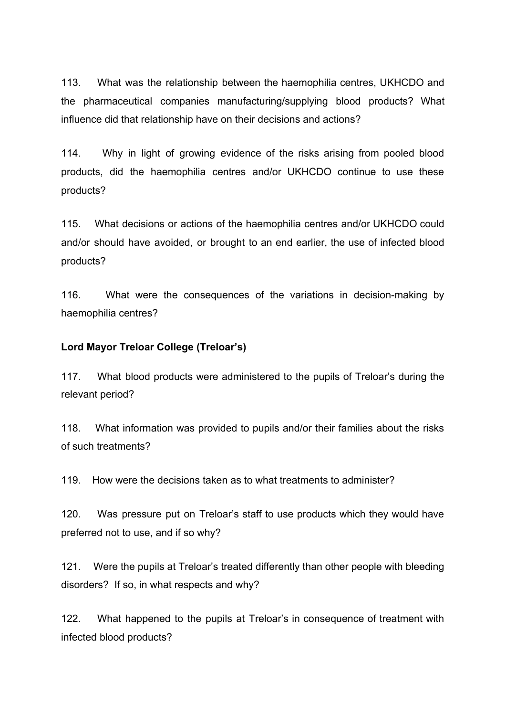113. What was the relationship between the haemophilia centres, UKHCDO and the pharmaceutical companies manufacturing/supplying blood products? What influence did that relationship have on their decisions and actions?

114. Why in light of growing evidence of the risks arising from pooled blood products, did the haemophilia centres and/or UKHCDO continue to use these products?

115. What decisions or actions of the haemophilia centres and/or UKHCDO could and/or should have avoided, or brought to an end earlier, the use of infected blood products?

116. What were the consequences of the variations in decision-making by haemophilia centres?

### <span id="page-22-0"></span>**Lord Mayor Treloar College (Treloar's)**

117. What blood products were administered to the pupils of Treloar's during the relevant period?

118. What information was provided to pupils and/or their families about the risks of such treatments?

119. How were the decisions taken as to what treatments to administer?

120. Was pressure put on Treloar's staff to use products which they would have preferred not to use, and if so why?

121. Were the pupils at Treloar's treated differently than other people with bleeding disorders? If so, in what respects and why?

122. What happened to the pupils at Treloar's in consequence of treatment with infected blood products?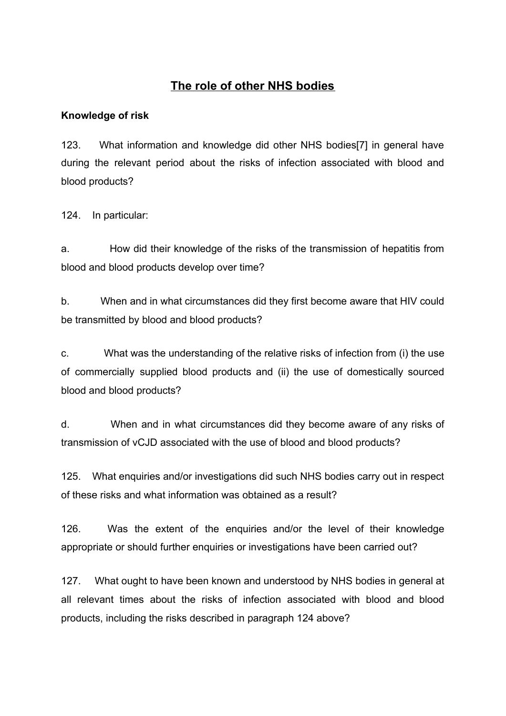# **The role of other NHS bodies**

## <span id="page-24-1"></span><span id="page-24-0"></span>**Knowledge of risk**

123. What information and knowledge did other NHS bodies[7] in general have during the relevant period about the risks of infection associated with blood and blood products?

124. In particular:

a. How did their knowledge of the risks of the transmission of hepatitis from blood and blood products develop over time?

b. When and in what circumstances did they first become aware that HIV could be transmitted by blood and blood products?

c. What was the understanding of the relative risks of infection from (i) the use of commercially supplied blood products and (ii) the use of domestically sourced blood and blood products?

d. When and in what circumstances did they become aware of any risks of transmission of vCJD associated with the use of blood and blood products?

125. What enquiries and/or investigations did such NHS bodies carry out in respect of these risks and what information was obtained as a result?

126. Was the extent of the enquiries and/or the level of their knowledge appropriate or should further enquiries or investigations have been carried out?

127. What ought to have been known and understood by NHS bodies in general at all relevant times about the risks of infection associated with blood and blood products, including the risks described in paragraph 124 above?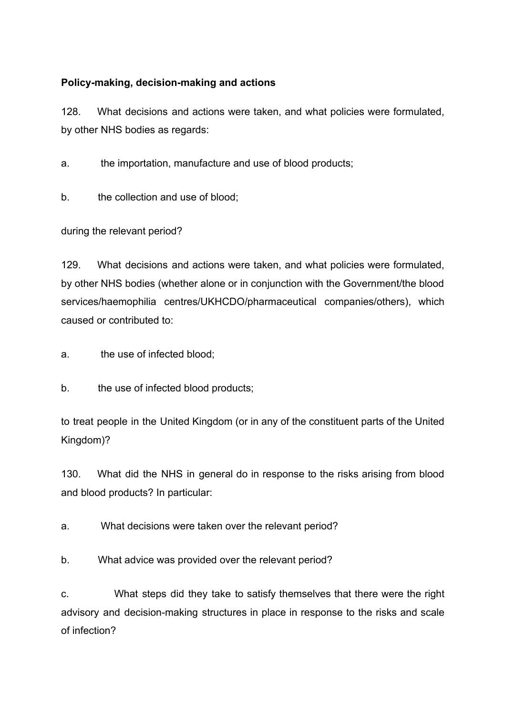# <span id="page-25-0"></span>**Policy-making, decision-making and actions**

128. What decisions and actions were taken, and what policies were formulated, by other NHS bodies as regards:

a. the importation, manufacture and use of blood products;

b. the collection and use of blood;

during the relevant period?

129. What decisions and actions were taken, and what policies were formulated, by other NHS bodies (whether alone or in conjunction with the Government/the blood services/haemophilia centres/UKHCDO/pharmaceutical companies/others), which caused or contributed to:

a. the use of infected blood;

b. the use of infected blood products;

to treat people in the United Kingdom (or in any of the constituent parts of the United Kingdom)?

130. What did the NHS in general do in response to the risks arising from blood and blood products? In particular:

a. What decisions were taken over the relevant period?

b. What advice was provided over the relevant period?

c. What steps did they take to satisfy themselves that there were the right advisory and decision-making structures in place in response to the risks and scale of infection?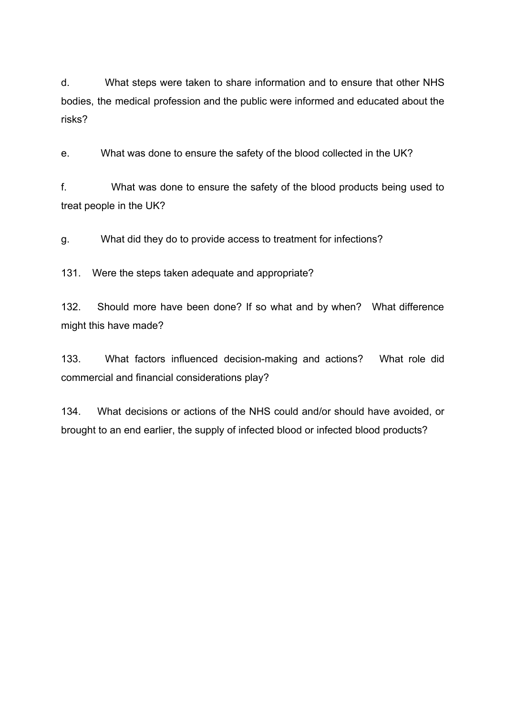d. What steps were taken to share information and to ensure that other NHS bodies, the medical profession and the public were informed and educated about the risks?

e. What was done to ensure the safety of the blood collected in the UK?

f. What was done to ensure the safety of the blood products being used to treat people in the UK?

g. What did they do to provide access to treatment for infections?

131. Were the steps taken adequate and appropriate?

132. Should more have been done? If so what and by when? What difference might this have made?

133. What factors influenced decision-making and actions? What role did commercial and financial considerations play?

134. What decisions or actions of the NHS could and/or should have avoided, or brought to an end earlier, the supply of infected blood or infected blood products?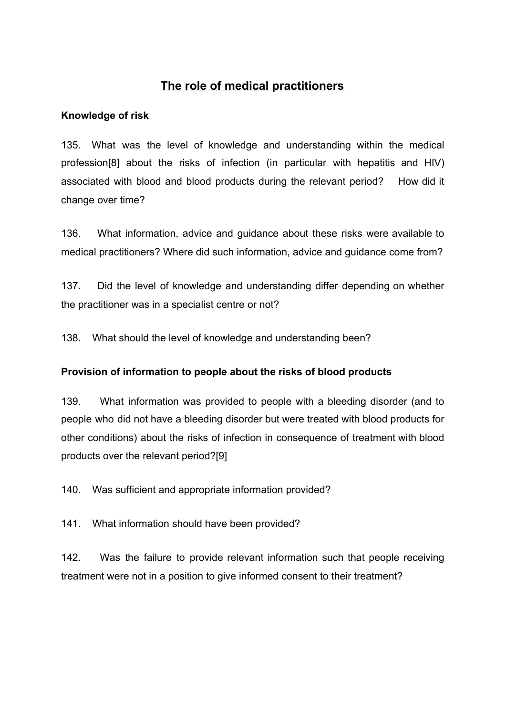# **The role of medical practitioners**

## <span id="page-27-1"></span><span id="page-27-0"></span>**Knowledge of risk**

135. What was the level of knowledge and understanding within the medical profession[8] about the risks of infection (in particular with hepatitis and HIV) associated with blood and blood products during the relevant period? How did it change over time?

136. What information, advice and guidance about these risks were available to medical practitioners? Where did such information, advice and guidance come from?

137. Did the level of knowledge and understanding differ depending on whether the practitioner was in a specialist centre or not?

138. What should the level of knowledge and understanding been?

## <span id="page-27-2"></span>**Provision of information to people about the risks of blood products**

139. What information was provided to people with a bleeding disorder (and to people who did not have a bleeding disorder but were treated with blood products for other conditions) about the risks of infection in consequence of treatment with blood products over the relevant period?[9]

140. Was sufficient and appropriate information provided?

141. What information should have been provided?

142. Was the failure to provide relevant information such that people receiving treatment were not in a position to give informed consent to their treatment?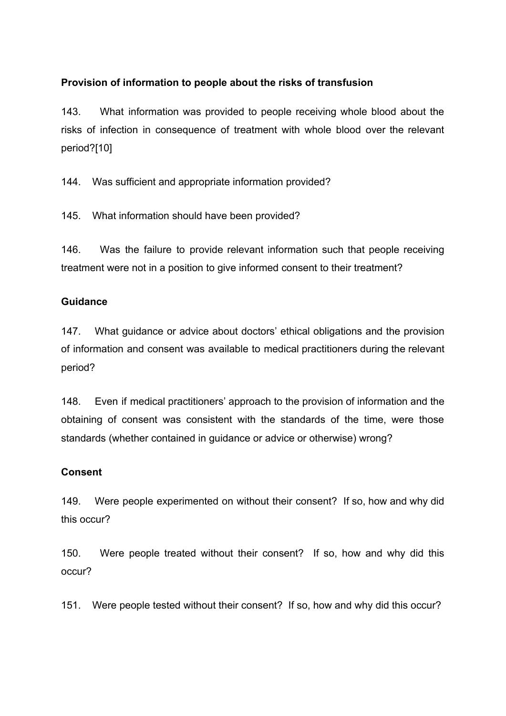## <span id="page-28-0"></span>**Provision of information to people about the risks of transfusion**

143. What information was provided to people receiving whole blood about the risks of infection in consequence of treatment with whole blood over the relevant period?[10]

144. Was sufficient and appropriate information provided?

145. What information should have been provided?

146. Was the failure to provide relevant information such that people receiving treatment were not in a position to give informed consent to their treatment?

### <span id="page-28-1"></span>**Guidance**

147. What guidance or advice about doctors' ethical obligations and the provision of information and consent was available to medical practitioners during the relevant period?

148. Even if medical practitioners' approach to the provision of information and the obtaining of consent was consistent with the standards of the time, were those standards (whether contained in guidance or advice or otherwise) wrong?

### <span id="page-28-2"></span>**Consent**

149. Were people experimented on without their consent? If so, how and why did this occur?

150. Were people treated without their consent? If so, how and why did this occur?

151. Were people tested without their consent? If so, how and why did this occur?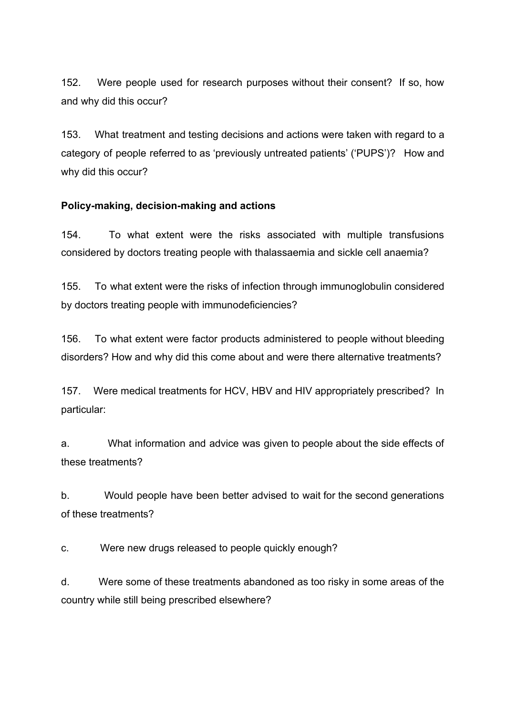152. Were people used for research purposes without their consent? If so, how and why did this occur?

153. What treatment and testing decisions and actions were taken with regard to a category of people referred to as 'previously untreated patients' ('PUPS')? How and why did this occur?

### <span id="page-29-0"></span>**Policy-making, decision-making and actions**

154. To what extent were the risks associated with multiple transfusions considered by doctors treating people with thalassaemia and sickle cell anaemia?

155. To what extent were the risks of infection through immunoglobulin considered by doctors treating people with immunodeficiencies?

156. To what extent were factor products administered to people without bleeding disorders? How and why did this come about and were there alternative treatments?

157. Were medical treatments for HCV, HBV and HIV appropriately prescribed? In particular:

a. What information and advice was given to people about the side effects of these treatments?

b. Would people have been better advised to wait for the second generations of these treatments?

c. Were new drugs released to people quickly enough?

d. Were some of these treatments abandoned as too risky in some areas of the country while still being prescribed elsewhere?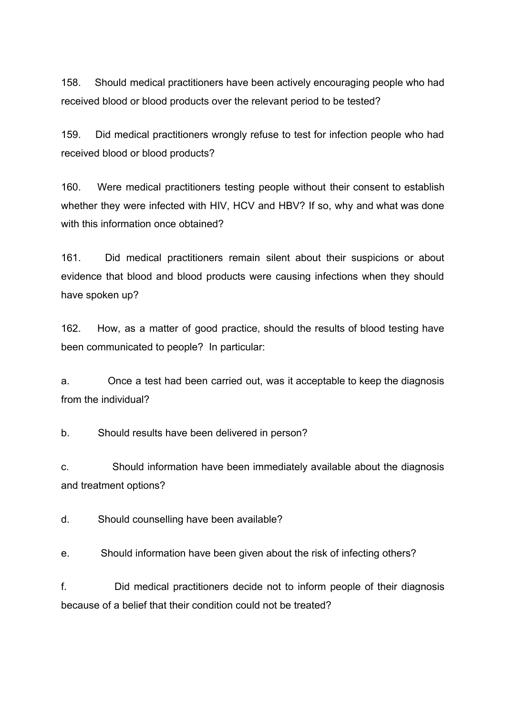158. Should medical practitioners have been actively encouraging people who had received blood or blood products over the relevant period to be tested?

159. Did medical practitioners wrongly refuse to test for infection people who had received blood or blood products?

160. Were medical practitioners testing people without their consent to establish whether they were infected with HIV, HCV and HBV? If so, why and what was done with this information once obtained?

161. Did medical practitioners remain silent about their suspicions or about evidence that blood and blood products were causing infections when they should have spoken up?

162. How, as a matter of good practice, should the results of blood testing have been communicated to people? In particular:

a. Once a test had been carried out, was it acceptable to keep the diagnosis from the individual?

b. Should results have been delivered in person?

c. Should information have been immediately available about the diagnosis and treatment options?

d. Should counselling have been available?

e. Should information have been given about the risk of infecting others?

f. Did medical practitioners decide not to inform people of their diagnosis because of a belief that their condition could not be treated?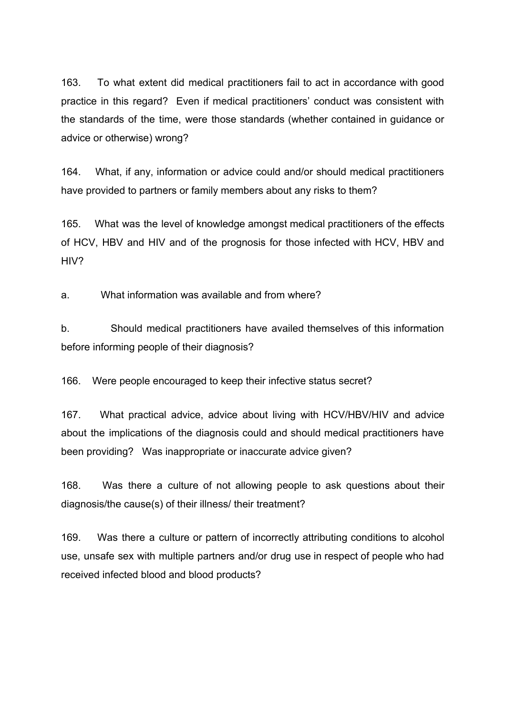163. To what extent did medical practitioners fail to act in accordance with good practice in this regard? Even if medical practitioners' conduct was consistent with the standards of the time, were those standards (whether contained in guidance or advice or otherwise) wrong?

164. What, if any, information or advice could and/or should medical practitioners have provided to partners or family members about any risks to them?

165. What was the level of knowledge amongst medical practitioners of the effects of HCV, HBV and HIV and of the prognosis for those infected with HCV, HBV and HIV?

a. What information was available and from where?

b. Should medical practitioners have availed themselves of this information before informing people of their diagnosis?

166. Were people encouraged to keep their infective status secret?

167. What practical advice, advice about living with HCV/HBV/HIV and advice about the implications of the diagnosis could and should medical practitioners have been providing? Was inappropriate or inaccurate advice given?

168. Was there a culture of not allowing people to ask questions about their diagnosis/the cause(s) of their illness/ their treatment?

169. Was there a culture or pattern of incorrectly attributing conditions to alcohol use, unsafe sex with multiple partners and/or drug use in respect of people who had received infected blood and blood products?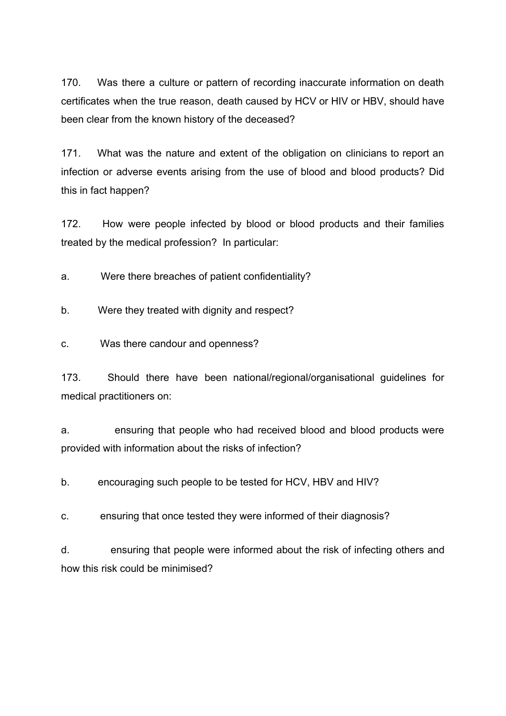170. Was there a culture or pattern of recording inaccurate information on death certificates when the true reason, death caused by HCV or HIV or HBV, should have been clear from the known history of the deceased?

171. What was the nature and extent of the obligation on clinicians to report an infection or adverse events arising from the use of blood and blood products? Did this in fact happen?

172. How were people infected by blood or blood products and their families treated by the medical profession? In particular:

a. Were there breaches of patient confidentiality?

b. Were they treated with dignity and respect?

c. Was there candour and openness?

173. Should there have been national/regional/organisational guidelines for medical practitioners on:

a. ensuring that people who had received blood and blood products were provided with information about the risks of infection?

b. encouraging such people to be tested for HCV, HBV and HIV?

c. ensuring that once tested they were informed of their diagnosis?

d. ensuring that people were informed about the risk of infecting others and how this risk could be minimised?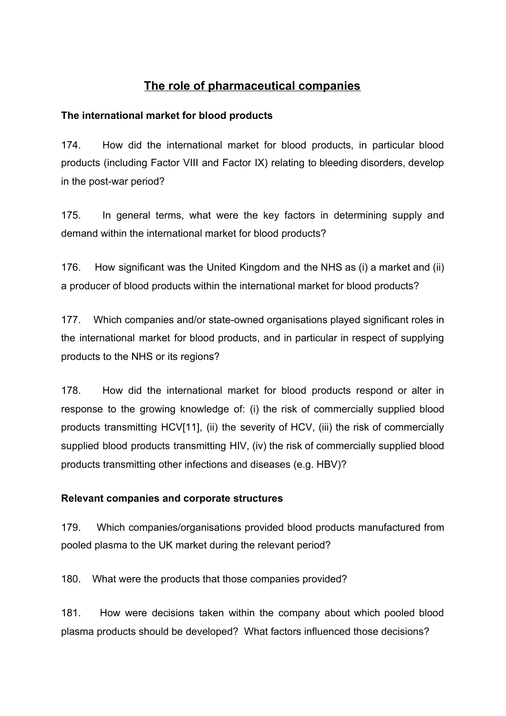# **The role of pharmaceutical companies**

## <span id="page-33-1"></span><span id="page-33-0"></span>**The international market for blood products**

174. How did the international market for blood products, in particular blood products (including Factor VIII and Factor IX) relating to bleeding disorders, develop in the post-war period?

175. In general terms, what were the key factors in determining supply and demand within the international market for blood products?

176. How significant was the United Kingdom and the NHS as (i) a market and (ii) a producer of blood products within the international market for blood products?

177. Which companies and/or state-owned organisations played significant roles in the international market for blood products, and in particular in respect of supplying products to the NHS or its regions?

178. How did the international market for blood products respond or alter in response to the growing knowledge of: (i) the risk of commercially supplied blood products transmitting HCV[11], (ii) the severity of HCV, (iii) the risk of commercially supplied blood products transmitting HIV, (iv) the risk of commercially supplied blood products transmitting other infections and diseases (e.g. HBV)?

## <span id="page-33-2"></span>**Relevant companies and corporate structures**

179. Which companies/organisations provided blood products manufactured from pooled plasma to the UK market during the relevant period?

180. What were the products that those companies provided?

181. How were decisions taken within the company about which pooled blood plasma products should be developed? What factors influenced those decisions?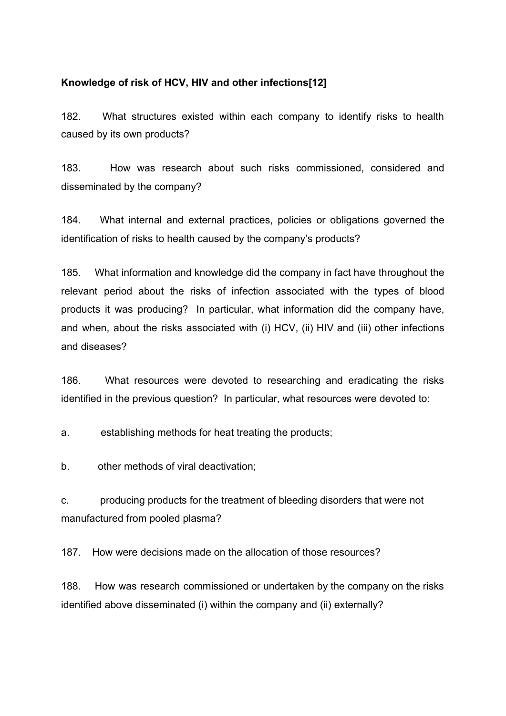## **Knowledge of risk of HCV, HIV and other infections[12]**

182. What structures existed within each company to identify risks to health caused by its own products?

183. How was research about such risks commissioned, considered and disseminated by the company?

184. What internal and external practices, policies or obligations governed the identification of risks to health caused by the company's products?

185. What information and knowledge did the company in fact have throughout the relevant period about the risks of infection associated with the types of blood products it was producing? In particular, what information did the company have, and when, about the risks associated with (i) HCV, (ii) HIV and (iii) other infections and diseases?

186. What resources were devoted to researching and eradicating the risks identified in the previous question? In particular, what resources were devoted to:

a. establishing methods for heat treating the products;

b. other methods of viral deactivation;

c. producing products for the treatment of bleeding disorders that were not manufactured from pooled plasma?

187. How were decisions made on the allocation of those resources?

188. How was research commissioned or undertaken by the company on the risks identified above disseminated (i) within the company and (ii) externally?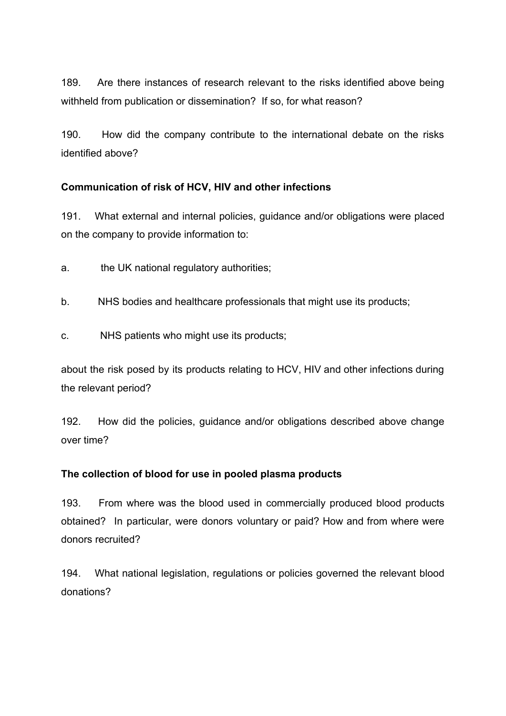189. Are there instances of research relevant to the risks identified above being withheld from publication or dissemination? If so, for what reason?

190. How did the company contribute to the international debate on the risks identified above?

## <span id="page-35-0"></span>**Communication of risk of HCV, HIV and other infections**

191. What external and internal policies, guidance and/or obligations were placed on the company to provide information to:

a. the UK national regulatory authorities;

b. NHS bodies and healthcare professionals that might use its products;

c. NHS patients who might use its products;

about the risk posed by its products relating to HCV, HIV and other infections during the relevant period?

192. How did the policies, guidance and/or obligations described above change over time?

## <span id="page-35-1"></span>**The collection of blood for use in pooled plasma products**

193. From where was the blood used in commercially produced blood products obtained? In particular, were donors voluntary or paid? How and from where were donors recruited?

194. What national legislation, regulations or policies governed the relevant blood donations?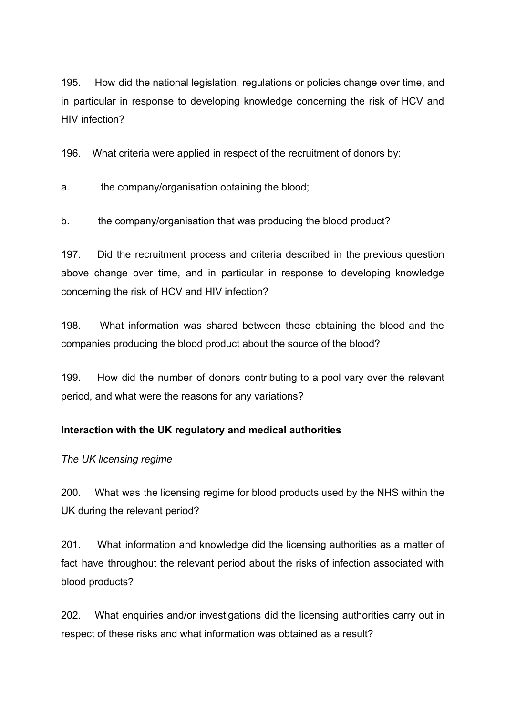195. How did the national legislation, regulations or policies change over time, and in particular in response to developing knowledge concerning the risk of HCV and HIV infection?

196. What criteria were applied in respect of the recruitment of donors by:

a. the company/organisation obtaining the blood;

b. the company/organisation that was producing the blood product?

197. Did the recruitment process and criteria described in the previous question above change over time, and in particular in response to developing knowledge concerning the risk of HCV and HIV infection?

198. What information was shared between those obtaining the blood and the companies producing the blood product about the source of the blood?

199. How did the number of donors contributing to a pool vary over the relevant period, and what were the reasons for any variations?

## <span id="page-36-0"></span>**Interaction with the UK regulatory and medical authorities**

### *The UK licensing regime*

200. What was the licensing regime for blood products used by the NHS within the UK during the relevant period?

201. What information and knowledge did the licensing authorities as a matter of fact have throughout the relevant period about the risks of infection associated with blood products?

202. What enquiries and/or investigations did the licensing authorities carry out in respect of these risks and what information was obtained as a result?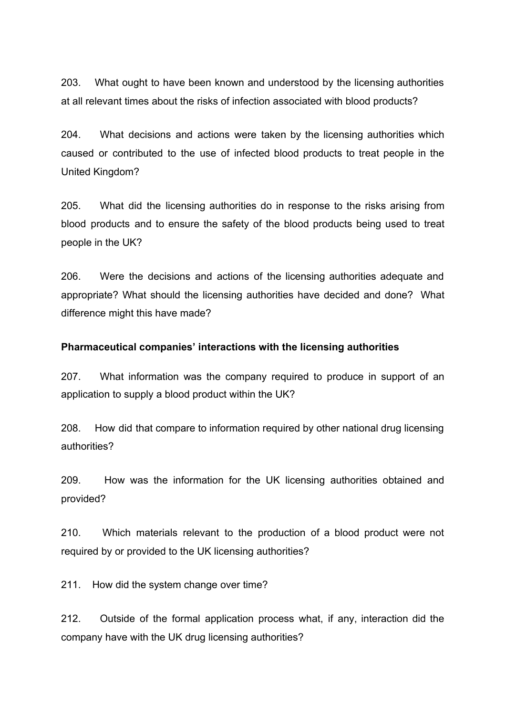203. What ought to have been known and understood by the licensing authorities at all relevant times about the risks of infection associated with blood products?

204. What decisions and actions were taken by the licensing authorities which caused or contributed to the use of infected blood products to treat people in the United Kingdom?

205. What did the licensing authorities do in response to the risks arising from blood products and to ensure the safety of the blood products being used to treat people in the UK?

206. Were the decisions and actions of the licensing authorities adequate and appropriate? What should the licensing authorities have decided and done? What difference might this have made?

#### <span id="page-37-0"></span>**Pharmaceutical companies' interactions with the licensing authorities**

207. What information was the company required to produce in support of an application to supply a blood product within the UK?

208. How did that compare to information required by other national drug licensing authorities?

209. How was the information for the UK licensing authorities obtained and provided?

210. Which materials relevant to the production of a blood product were not required by or provided to the UK licensing authorities?

211. How did the system change over time?

212. Outside of the formal application process what, if any, interaction did the company have with the UK drug licensing authorities?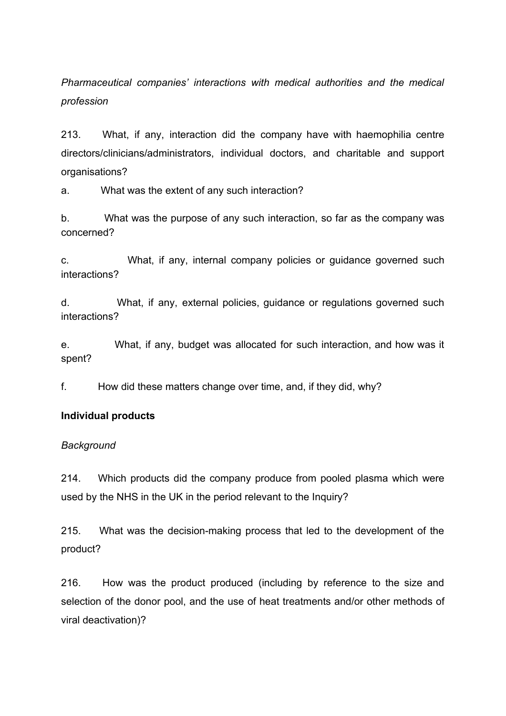*Pharmaceutical companies' interactions with medical authorities and the medical profession*

213. What, if any, interaction did the company have with haemophilia centre directors/clinicians/administrators, individual doctors, and charitable and support organisations?

a. What was the extent of any such interaction?

b. What was the purpose of any such interaction, so far as the company was concerned?

c. What, if any, internal company policies or guidance governed such interactions?

d. What, if any, external policies, guidance or regulations governed such interactions?

e. What, if any, budget was allocated for such interaction, and how was it spent?

<span id="page-38-0"></span>f. How did these matters change over time, and, if they did, why?

#### **Individual products**

#### *Background*

214. Which products did the company produce from pooled plasma which were used by the NHS in the UK in the period relevant to the Inquiry?

215. What was the decision-making process that led to the development of the product?

216. How was the product produced (including by reference to the size and selection of the donor pool, and the use of heat treatments and/or other methods of viral deactivation)?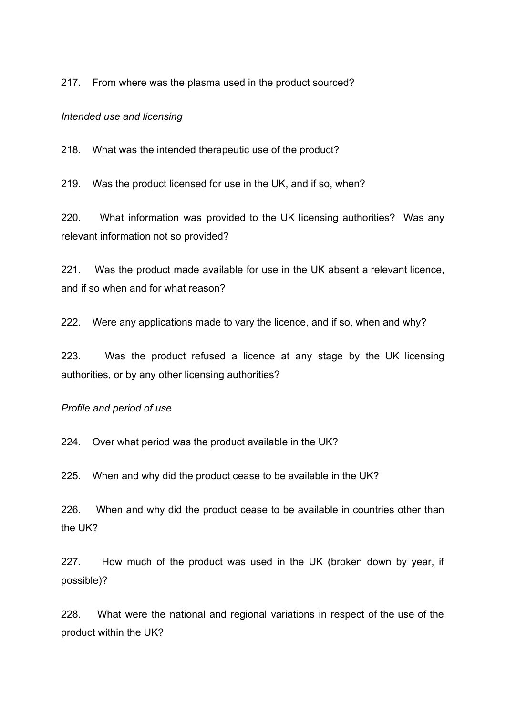217. From where was the plasma used in the product sourced?

#### <span id="page-39-0"></span>*Intended use and licensing*

218. What was the intended therapeutic use of the product?

219. Was the product licensed for use in the UK, and if so, when?

220. What information was provided to the UK licensing authorities? Was any relevant information not so provided?

221. Was the product made available for use in the UK absent a relevant licence, and if so when and for what reason?

222. Were any applications made to vary the licence, and if so, when and why?

223. Was the product refused a licence at any stage by the UK licensing authorities, or by any other licensing authorities?

#### *Profile and period of use*

224. Over what period was the product available in the UK?

225. When and why did the product cease to be available in the UK?

226. When and why did the product cease to be available in countries other than the UK?

227. How much of the product was used in the UK (broken down by year, if possible)?

228. What were the national and regional variations in respect of the use of the product within the UK?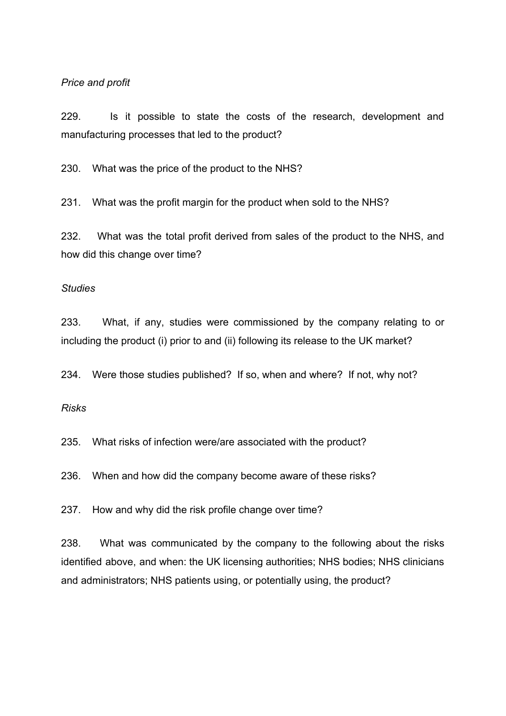#### *Price and profit*

229. Is it possible to state the costs of the research, development and manufacturing processes that led to the product?

230. What was the price of the product to the NHS?

231. What was the profit margin for the product when sold to the NHS?

232. What was the total profit derived from sales of the product to the NHS, and how did this change over time?

#### <span id="page-40-0"></span>*Studies*

233. What, if any, studies were commissioned by the company relating to or including the product (i) prior to and (ii) following its release to the UK market?

234. Were those studies published? If so, when and where? If not, why not?

#### <span id="page-40-1"></span>*Risks*

235. What risks of infection were/are associated with the product?

236. When and how did the company become aware of these risks?

237. How and why did the risk profile change over time?

238. What was communicated by the company to the following about the risks identified above, and when: the UK licensing authorities; NHS bodies; NHS clinicians and administrators; NHS patients using, or potentially using, the product?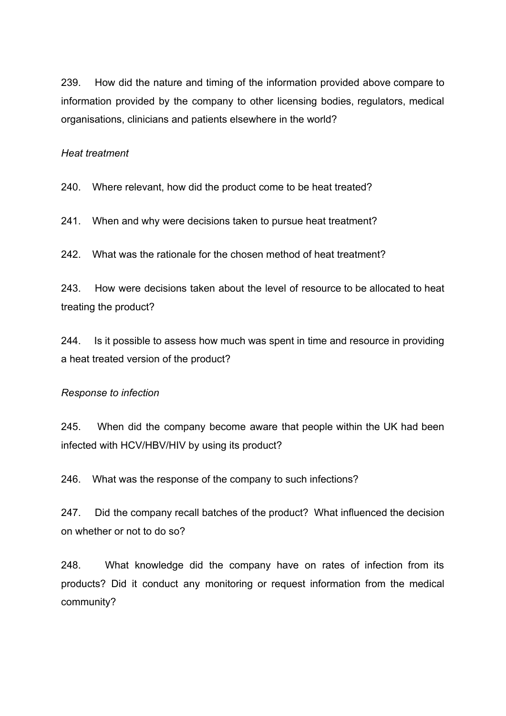239. How did the nature and timing of the information provided above compare to information provided by the company to other licensing bodies, regulators, medical organisations, clinicians and patients elsewhere in the world?

#### <span id="page-41-0"></span>*Heat treatment*

240. Where relevant, how did the product come to be heat treated?

241. When and why were decisions taken to pursue heat treatment?

242. What was the rationale for the chosen method of heat treatment?

243. How were decisions taken about the level of resource to be allocated to heat treating the product?

244. Is it possible to assess how much was spent in time and resource in providing a heat treated version of the product?

#### <span id="page-41-1"></span>*Response to infection*

245. When did the company become aware that people within the UK had been infected with HCV/HBV/HIV by using its product?

246. What was the response of the company to such infections?

247. Did the company recall batches of the product? What influenced the decision on whether or not to do so?

248. What knowledge did the company have on rates of infection from its products? Did it conduct any monitoring or request information from the medical community?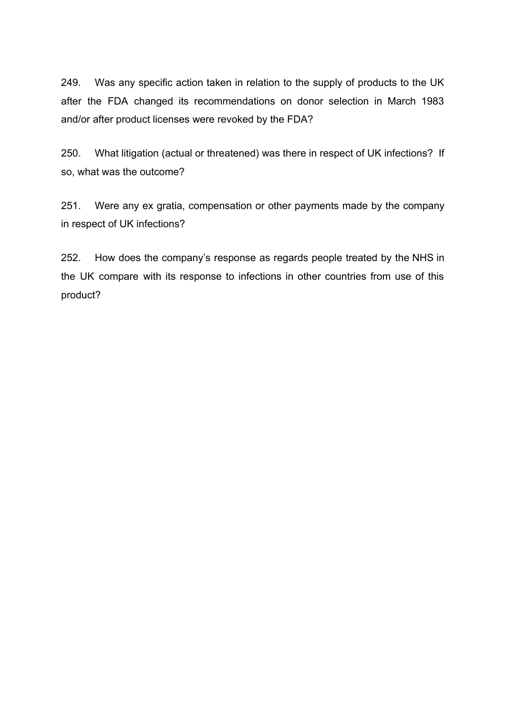249. Was any specific action taken in relation to the supply of products to the UK after the FDA changed its recommendations on donor selection in March 1983 and/or after product licenses were revoked by the FDA?

250. What litigation (actual or threatened) was there in respect of UK infections? If so, what was the outcome?

251. Were any ex gratia, compensation or other payments made by the company in respect of UK infections?

252. How does the company's response as regards people treated by the NHS in the UK compare with its response to infections in other countries from use of this product?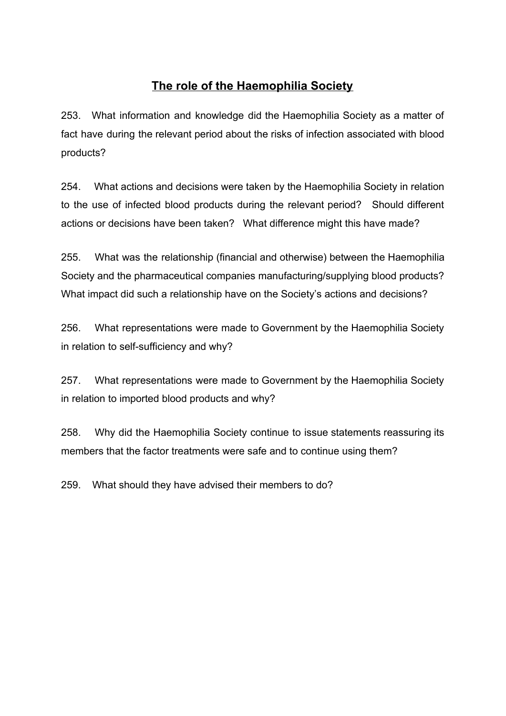# **The role of the Haemophilia Society**

<span id="page-43-0"></span>253. What information and knowledge did the Haemophilia Society as a matter of fact have during the relevant period about the risks of infection associated with blood products?

254. What actions and decisions were taken by the Haemophilia Society in relation to the use of infected blood products during the relevant period? Should different actions or decisions have been taken? What difference might this have made?

255. What was the relationship (financial and otherwise) between the Haemophilia Society and the pharmaceutical companies manufacturing/supplying blood products? What impact did such a relationship have on the Society's actions and decisions?

256. What representations were made to Government by the Haemophilia Society in relation to self-sufficiency and why?

257. What representations were made to Government by the Haemophilia Society in relation to imported blood products and why?

258. Why did the Haemophilia Society continue to issue statements reassuring its members that the factor treatments were safe and to continue using them?

259. What should they have advised their members to do?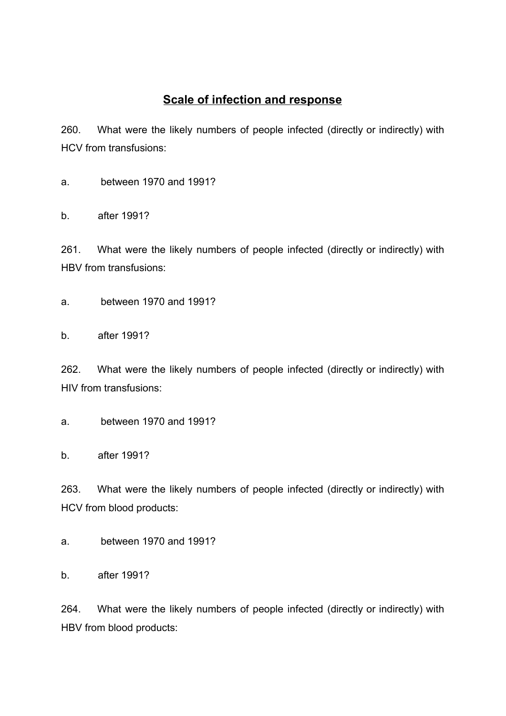# **Scale of infection and response**

<span id="page-44-0"></span>260. What were the likely numbers of people infected (directly or indirectly) with HCV from transfusions:

a. between 1970 and 1991?

b. after 1991?

261. What were the likely numbers of people infected (directly or indirectly) with HBV from transfusions:

a. between 1970 and 1991?

b. after 1991?

262. What were the likely numbers of people infected (directly or indirectly) with HIV from transfusions:

a. between 1970 and 1991?

b. after 1991?

263. What were the likely numbers of people infected (directly or indirectly) with HCV from blood products:

a. between 1970 and 1991?

b. after 1991?

264. What were the likely numbers of people infected (directly or indirectly) with HBV from blood products: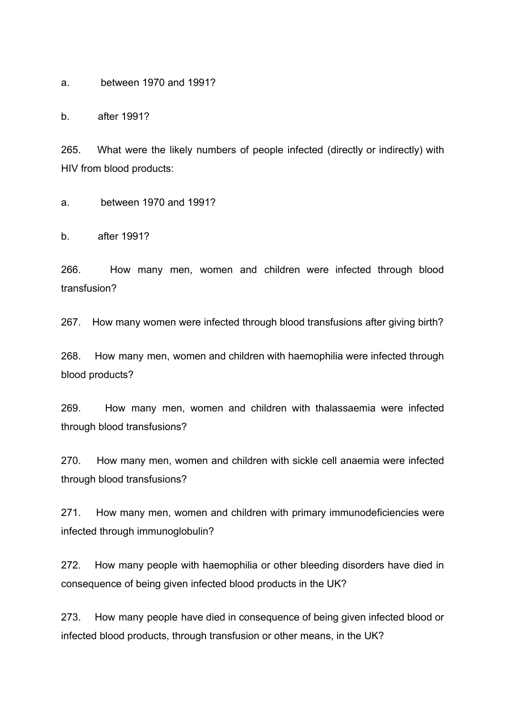a. between 1970 and 1991?

b. after 1991?

265. What were the likely numbers of people infected (directly or indirectly) with HIV from blood products:

a. between 1970 and 1991?

b. after 1991?

266. How many men, women and children were infected through blood transfusion?

267. How many women were infected through blood transfusions after giving birth?

268. How many men, women and children with haemophilia were infected through blood products?

269. How many men, women and children with thalassaemia were infected through blood transfusions?

270. How many men, women and children with sickle cell anaemia were infected through blood transfusions?

271. How many men, women and children with primary immunodeficiencies were infected through immunoglobulin?

272. How many people with haemophilia or other bleeding disorders have died in consequence of being given infected blood products in the UK?

273. How many people have died in consequence of being given infected blood or infected blood products, through transfusion or other means, in the UK?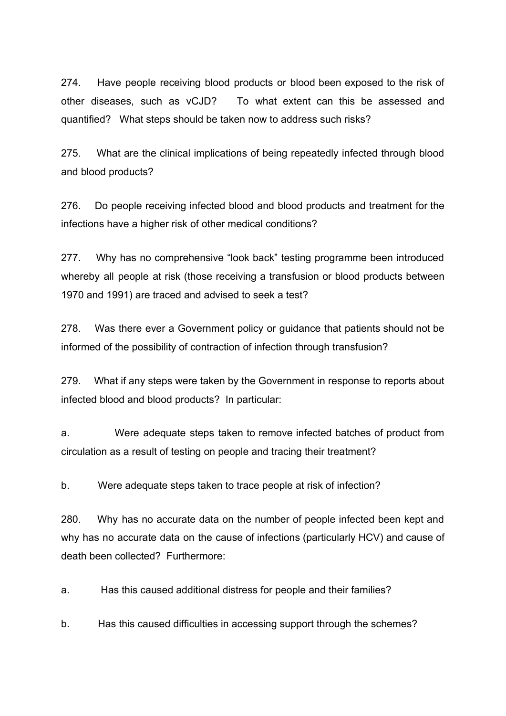274. Have people receiving blood products or blood been exposed to the risk of other diseases, such as vCJD? To what extent can this be assessed and quantified? What steps should be taken now to address such risks?

275. What are the clinical implications of being repeatedly infected through blood and blood products?

276. Do people receiving infected blood and blood products and treatment for the infections have a higher risk of other medical conditions?

277. Why has no comprehensive "look back" testing programme been introduced whereby all people at risk (those receiving a transfusion or blood products between 1970 and 1991) are traced and advised to seek a test?

278. Was there ever a Government policy or guidance that patients should not be informed of the possibility of contraction of infection through transfusion?

279. What if any steps were taken by the Government in response to reports about infected blood and blood products? In particular:

a. Were adequate steps taken to remove infected batches of product from circulation as a result of testing on people and tracing their treatment?

b. Were adequate steps taken to trace people at risk of infection?

280. Why has no accurate data on the number of people infected been kept and why has no accurate data on the cause of infections (particularly HCV) and cause of death been collected? Furthermore:

a. Has this caused additional distress for people and their families?

b. Has this caused difficulties in accessing support through the schemes?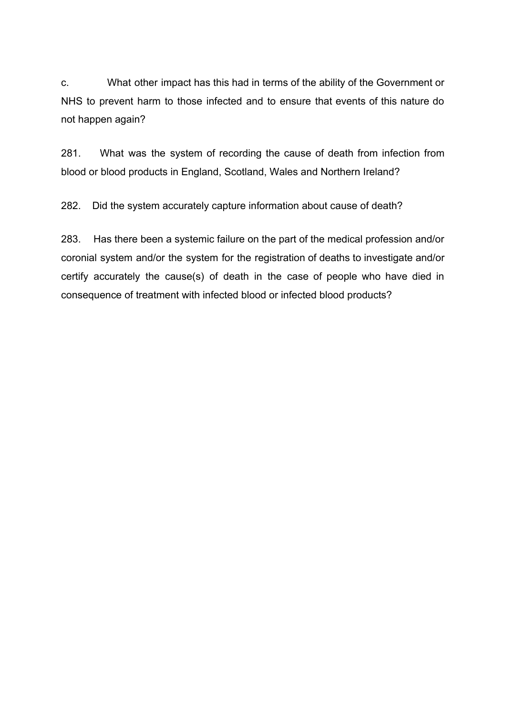c. What other impact has this had in terms of the ability of the Government or NHS to prevent harm to those infected and to ensure that events of this nature do not happen again?

281. What was the system of recording the cause of death from infection from blood or blood products in England, Scotland, Wales and Northern Ireland?

282. Did the system accurately capture information about cause of death?

283. Has there been a systemic failure on the part of the medical profession and/or coronial system and/or the system for the registration of deaths to investigate and/or certify accurately the cause(s) of death in the case of people who have died in consequence of treatment with infected blood or infected blood products?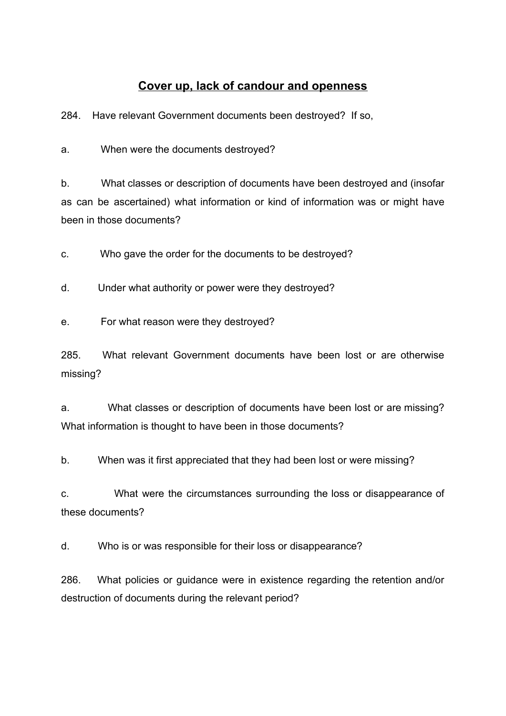# **Cover up, lack of candour and openness**

<span id="page-48-0"></span>284. Have relevant Government documents been destroyed? If so,

a. When were the documents destroyed?

b. What classes or description of documents have been destroyed and (insofar as can be ascertained) what information or kind of information was or might have been in those documents?

c. Who gave the order for the documents to be destroyed?

d. Under what authority or power were they destroyed?

e. For what reason were they destroyed?

285. What relevant Government documents have been lost or are otherwise missing?

a. What classes or description of documents have been lost or are missing? What information is thought to have been in those documents?

b. When was it first appreciated that they had been lost or were missing?

c. What were the circumstances surrounding the loss or disappearance of these documents?

d. Who is or was responsible for their loss or disappearance?

286. What policies or guidance were in existence regarding the retention and/or destruction of documents during the relevant period?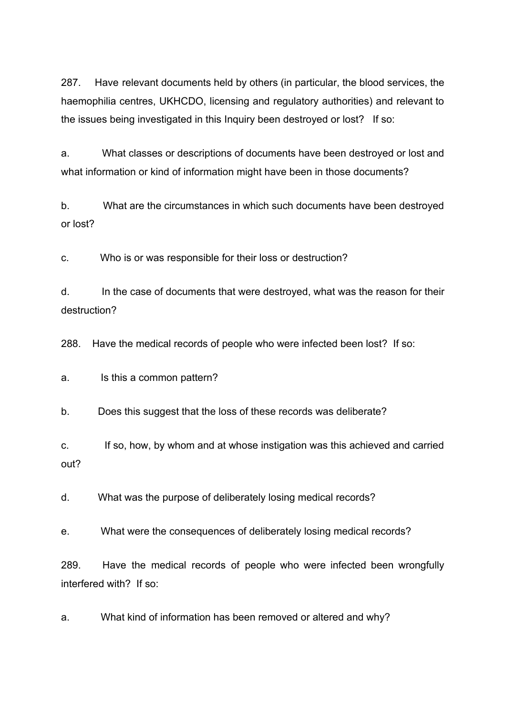287. Have relevant documents held by others (in particular, the blood services, the haemophilia centres, UKHCDO, licensing and regulatory authorities) and relevant to the issues being investigated in this Inquiry been destroyed or lost? If so:

a. What classes or descriptions of documents have been destroyed or lost and what information or kind of information might have been in those documents?

b. What are the circumstances in which such documents have been destroyed or lost?

c. Who is or was responsible for their loss or destruction?

d. In the case of documents that were destroyed, what was the reason for their destruction?

288. Have the medical records of people who were infected been lost? If so:

a. Is this a common pattern?

b. Does this suggest that the loss of these records was deliberate?

c. If so, how, by whom and at whose instigation was this achieved and carried out?

d. What was the purpose of deliberately losing medical records?

e. What were the consequences of deliberately losing medical records?

289. Have the medical records of people who were infected been wrongfully interfered with? If so:

a. What kind of information has been removed or altered and why?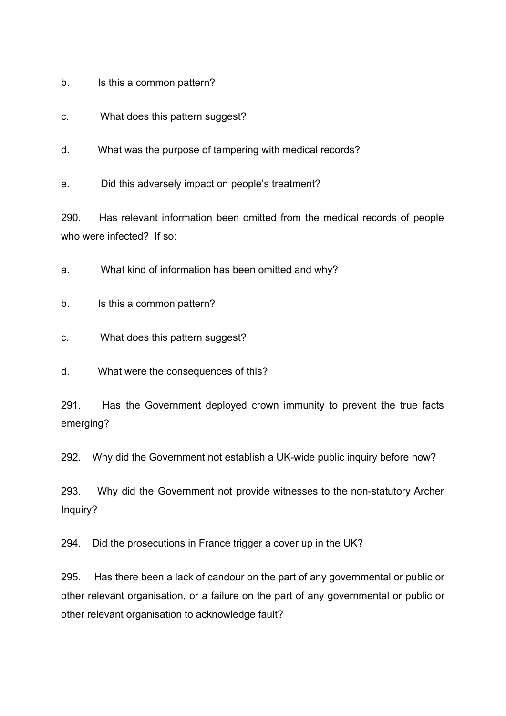- b. Is this a common pattern?
- c. What does this pattern suggest?
- d. What was the purpose of tampering with medical records?

e. Did this adversely impact on people's treatment?

290. Has relevant information been omitted from the medical records of people who were infected? If so:

a. What kind of information has been omitted and why?

b. Is this a common pattern?

c. What does this pattern suggest?

d. What were the consequences of this?

291. Has the Government deployed crown immunity to prevent the true facts emerging?

292. Why did the Government not establish a UK-wide public inquiry before now?

293. Why did the Government not provide witnesses to the non-statutory Archer Inquiry?

294. Did the prosecutions in France trigger a cover up in the UK?

295. Has there been a lack of candour on the part of any governmental or public or other relevant organisation, or a failure on the part of any governmental or public or other relevant organisation to acknowledge fault?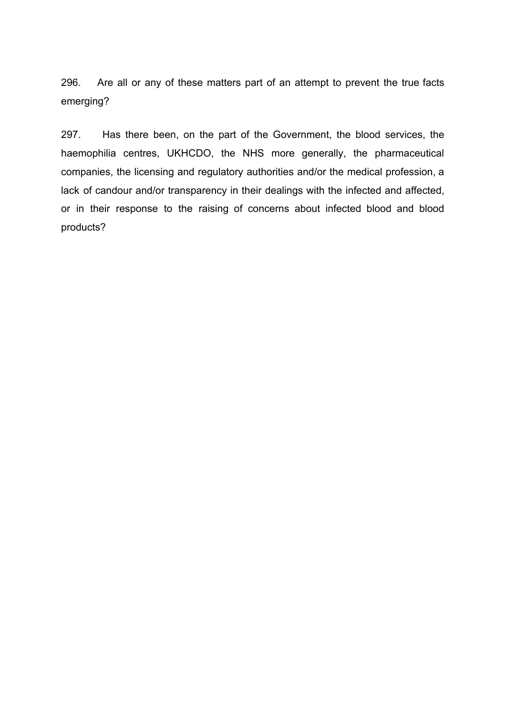296. Are all or any of these matters part of an attempt to prevent the true facts emerging?

297. Has there been, on the part of the Government, the blood services, the haemophilia centres, UKHCDO, the NHS more generally, the pharmaceutical companies, the licensing and regulatory authorities and/or the medical profession, a lack of candour and/or transparency in their dealings with the infected and affected, or in their response to the raising of concerns about infected blood and blood products?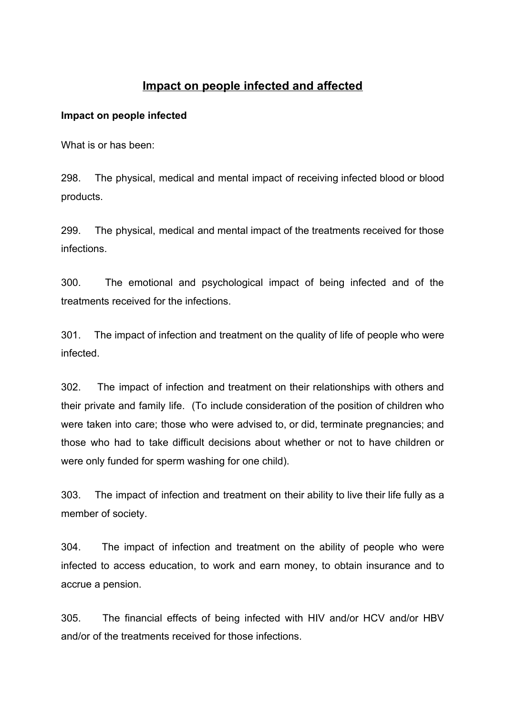# **Impact on people infected and affected**

### <span id="page-52-1"></span><span id="page-52-0"></span>**Impact on people infected**

What is or has been:

298. The physical, medical and mental impact of receiving infected blood or blood products.

299. The physical, medical and mental impact of the treatments received for those infections.

300. The emotional and psychological impact of being infected and of the treatments received for the infections.

301. The impact of infection and treatment on the quality of life of people who were infected.

302. The impact of infection and treatment on their relationships with others and their private and family life. (To include consideration of the position of children who were taken into care; those who were advised to, or did, terminate pregnancies; and those who had to take difficult decisions about whether or not to have children or were only funded for sperm washing for one child).

303. The impact of infection and treatment on their ability to live their life fully as a member of society.

304. The impact of infection and treatment on the ability of people who were infected to access education, to work and earn money, to obtain insurance and to accrue a pension.

305. The financial effects of being infected with HIV and/or HCV and/or HBV and/or of the treatments received for those infections.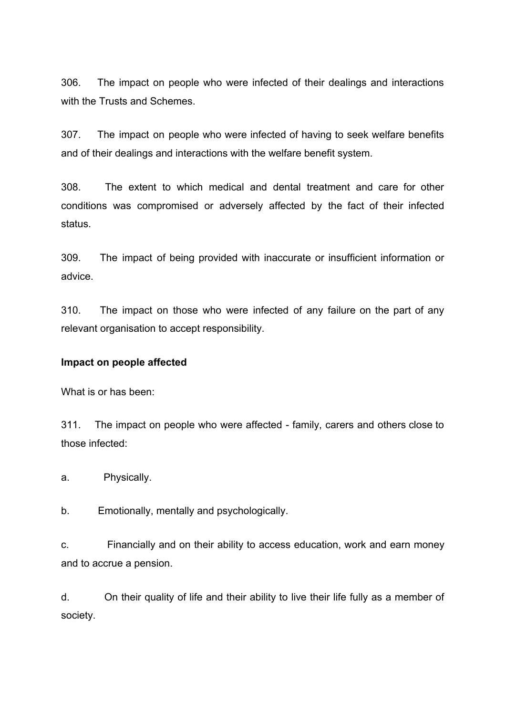306. The impact on people who were infected of their dealings and interactions with the Trusts and Schemes.

307. The impact on people who were infected of having to seek welfare benefits and of their dealings and interactions with the welfare benefit system.

308. The extent to which medical and dental treatment and care for other conditions was compromised or adversely affected by the fact of their infected status.

309. The impact of being provided with inaccurate or insufficient information or advice.

310. The impact on those who were infected of any failure on the part of any relevant organisation to accept responsibility.

#### <span id="page-53-0"></span>**Impact on people affected**

What is or has been:

311. The impact on people who were affected - family, carers and others close to those infected:

a. Physically.

b. Emotionally, mentally and psychologically.

c. Financially and on their ability to access education, work and earn money and to accrue a pension.

d. On their quality of life and their ability to live their life fully as a member of society.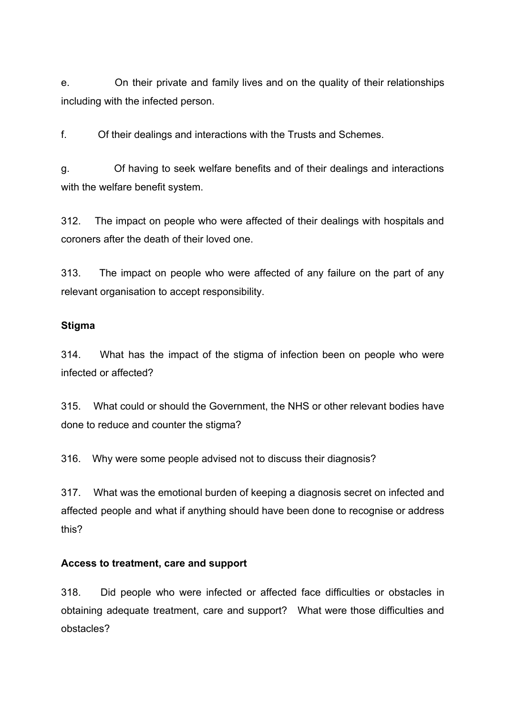e. On their private and family lives and on the quality of their relationships including with the infected person.

f. Of their dealings and interactions with the Trusts and Schemes.

g. Of having to seek welfare benefits and of their dealings and interactions with the welfare benefit system.

312. The impact on people who were affected of their dealings with hospitals and coroners after the death of their loved one.

313. The impact on people who were affected of any failure on the part of any relevant organisation to accept responsibility.

#### <span id="page-54-0"></span>**Stigma**

314. What has the impact of the stigma of infection been on people who were infected or affected?

315. What could or should the Government, the NHS or other relevant bodies have done to reduce and counter the stigma?

316. Why were some people advised not to discuss their diagnosis?

317. What was the emotional burden of keeping a diagnosis secret on infected and affected people and what if anything should have been done to recognise or address this?

#### <span id="page-54-1"></span>**Access to treatment, care and support**

318. Did people who were infected or affected face difficulties or obstacles in obtaining adequate treatment, care and support? What were those difficulties and obstacles?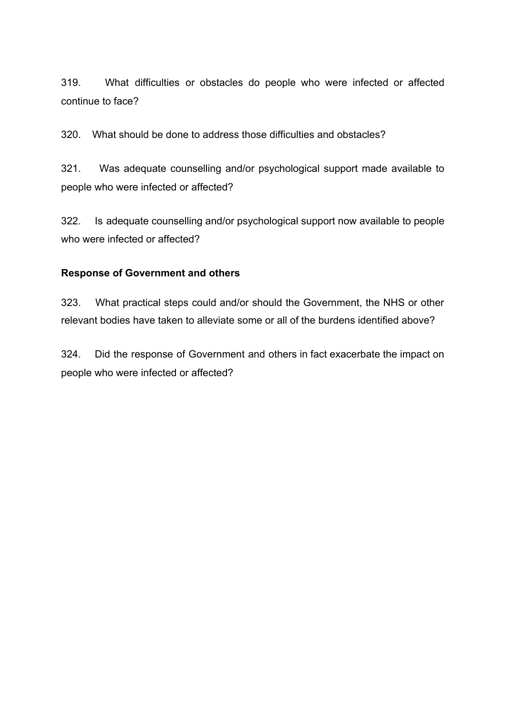319. What difficulties or obstacles do people who were infected or affected continue to face?

320. What should be done to address those difficulties and obstacles?

321. Was adequate counselling and/or psychological support made available to people who were infected or affected?

322. Is adequate counselling and/or psychological support now available to people who were infected or affected?

### <span id="page-55-0"></span>**Response of Government and others**

323. What practical steps could and/or should the Government, the NHS or other relevant bodies have taken to alleviate some or all of the burdens identified above?

324. Did the response of Government and others in fact exacerbate the impact on people who were infected or affected?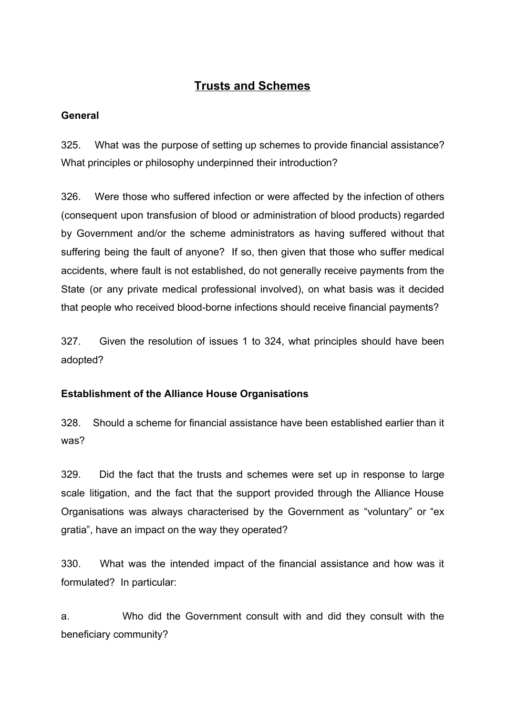# **Trusts and Schemes**

# <span id="page-56-1"></span><span id="page-56-0"></span>**General**

325. What was the purpose of setting up schemes to provide financial assistance? What principles or philosophy underpinned their introduction?

326. Were those who suffered infection or were affected by the infection of others (consequent upon transfusion of blood or administration of blood products) regarded by Government and/or the scheme administrators as having suffered without that suffering being the fault of anyone? If so, then given that those who suffer medical accidents, where fault is not established, do not generally receive payments from the State (or any private medical professional involved), on what basis was it decided that people who received blood-borne infections should receive financial payments?

327. Given the resolution of issues 1 to 324, what principles should have been adopted?

# <span id="page-56-2"></span>**Establishment of the Alliance House Organisations**

328. Should a scheme for financial assistance have been established earlier than it was?

329. Did the fact that the trusts and schemes were set up in response to large scale litigation, and the fact that the support provided through the Alliance House Organisations was always characterised by the Government as "voluntary" or "ex gratia", have an impact on the way they operated?

330. What was the intended impact of the financial assistance and how was it formulated? In particular:

a. Who did the Government consult with and did they consult with the beneficiary community?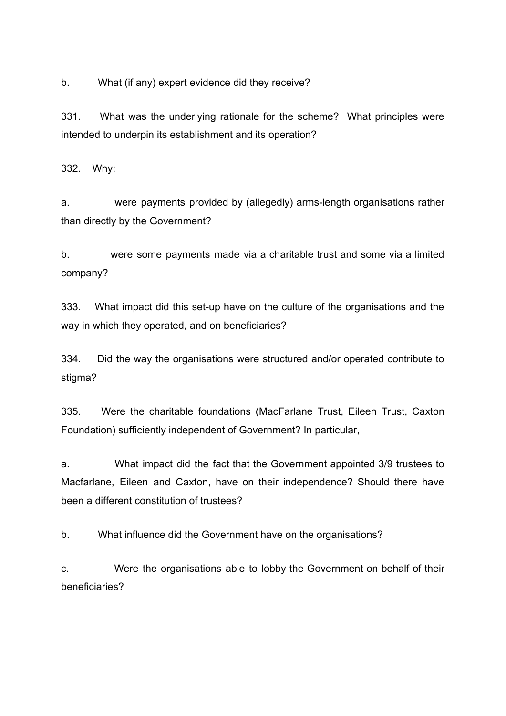b. What (if any) expert evidence did they receive?

331. What was the underlying rationale for the scheme? What principles were intended to underpin its establishment and its operation?

332. Why:

a. were payments provided by (allegedly) arms-length organisations rather than directly by the Government?

b. were some payments made via a charitable trust and some via a limited company?

333. What impact did this set-up have on the culture of the organisations and the way in which they operated, and on beneficiaries?

334. Did the way the organisations were structured and/or operated contribute to stigma?

335. Were the charitable foundations (MacFarlane Trust, Eileen Trust, Caxton Foundation) sufficiently independent of Government? In particular,

a. What impact did the fact that the Government appointed 3/9 trustees to Macfarlane, Eileen and Caxton, have on their independence? Should there have been a different constitution of trustees?

b. What influence did the Government have on the organisations?

c. Were the organisations able to lobby the Government on behalf of their beneficiaries?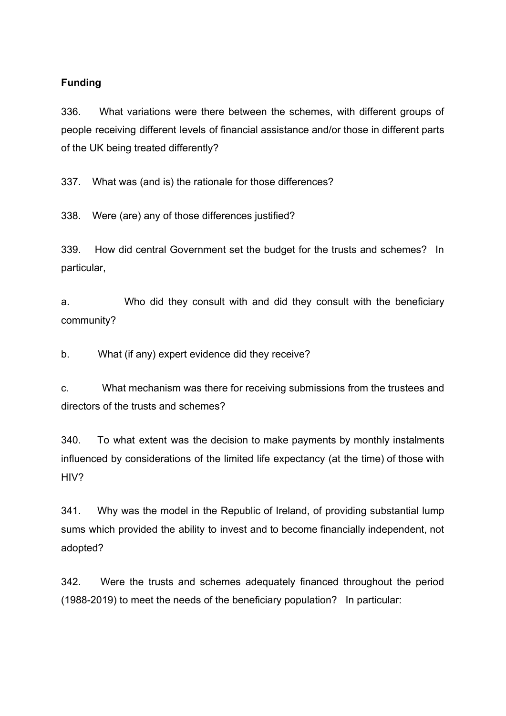### <span id="page-58-0"></span>**Funding**

336. What variations were there between the schemes, with different groups of people receiving different levels of financial assistance and/or those in different parts of the UK being treated differently?

337. What was (and is) the rationale for those differences?

338. Were (are) any of those differences justified?

339. How did central Government set the budget for the trusts and schemes? In particular,

a. Who did they consult with and did they consult with the beneficiary community?

b. What (if any) expert evidence did they receive?

c. What mechanism was there for receiving submissions from the trustees and directors of the trusts and schemes?

340. To what extent was the decision to make payments by monthly instalments influenced by considerations of the limited life expectancy (at the time) of those with HIV?

341. Why was the model in the Republic of Ireland, of providing substantial lump sums which provided the ability to invest and to become financially independent, not adopted?

342. Were the trusts and schemes adequately financed throughout the period (1988-2019) to meet the needs of the beneficiary population? In particular: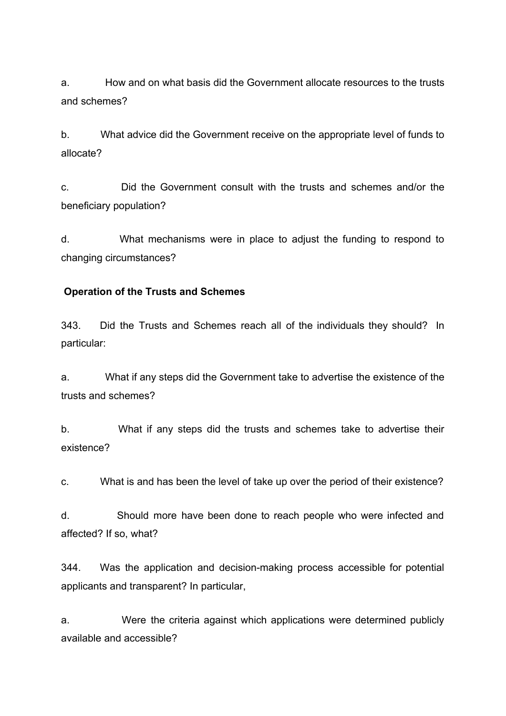a. How and on what basis did the Government allocate resources to the trusts and schemes?

b. What advice did the Government receive on the appropriate level of funds to allocate?

c. Did the Government consult with the trusts and schemes and/or the beneficiary population?

d. What mechanisms were in place to adjust the funding to respond to changing circumstances?

### **Operation of the Trusts and Schemes**

343. Did the Trusts and Schemes reach all of the individuals they should? In particular:

a. What if any steps did the Government take to advertise the existence of the trusts and schemes?

b. What if any steps did the trusts and schemes take to advertise their existence?

c. What is and has been the level of take up over the period of their existence?

d. Should more have been done to reach people who were infected and affected? If so, what?

344. Was the application and decision-making process accessible for potential applicants and transparent? In particular,

a. Were the criteria against which applications were determined publicly available and accessible?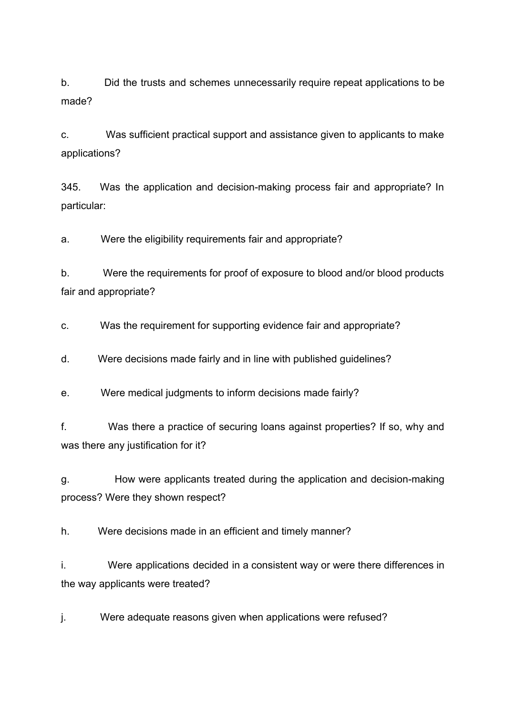b. Did the trusts and schemes unnecessarily require repeat applications to be made?

c. Was sufficient practical support and assistance given to applicants to make applications?

345. Was the application and decision-making process fair and appropriate? In particular:

a. Were the eligibility requirements fair and appropriate?

b. Were the requirements for proof of exposure to blood and/or blood products fair and appropriate?

c. Was the requirement for supporting evidence fair and appropriate?

d. Were decisions made fairly and in line with published guidelines?

e. Were medical judgments to inform decisions made fairly?

f. Was there a practice of securing loans against properties? If so, why and was there any justification for it?

g. How were applicants treated during the application and decision-making process? Were they shown respect?

h. Were decisions made in an efficient and timely manner?

i. Were applications decided in a consistent way or were there differences in the way applicants were treated?

j. Were adequate reasons given when applications were refused?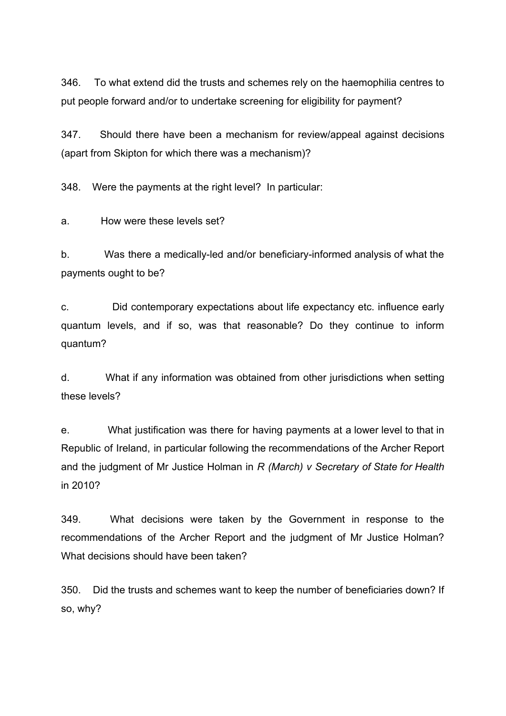346. To what extend did the trusts and schemes rely on the haemophilia centres to put people forward and/or to undertake screening for eligibility for payment?

347. Should there have been a mechanism for review/appeal against decisions (apart from Skipton for which there was a mechanism)?

348. Were the payments at the right level? In particular:

a. How were these levels set?

b. Was there a medically-led and/or beneficiary-informed analysis of what the payments ought to be?

c. Did contemporary expectations about life expectancy etc. influence early quantum levels, and if so, was that reasonable? Do they continue to inform quantum?

d. What if any information was obtained from other jurisdictions when setting these levels?

e. What justification was there for having payments at a lower level to that in Republic of Ireland, in particular following the recommendations of the Archer Report and the judgment of Mr Justice Holman in *R (March) v Secretary of State for Health* in 2010?

349. What decisions were taken by the Government in response to the recommendations of the Archer Report and the judgment of Mr Justice Holman? What decisions should have been taken?

350. Did the trusts and schemes want to keep the number of beneficiaries down? If so, why?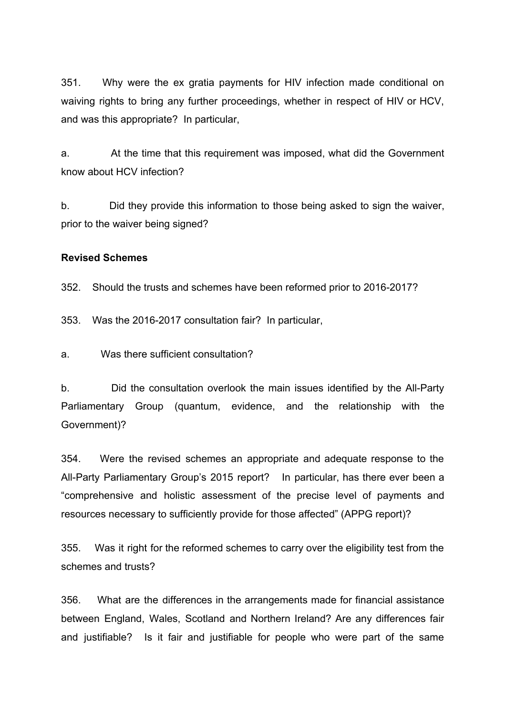351. Why were the ex gratia payments for HIV infection made conditional on waiving rights to bring any further proceedings, whether in respect of HIV or HCV, and was this appropriate? In particular,

a. At the time that this requirement was imposed, what did the Government know about HCV infection?

b. Did they provide this information to those being asked to sign the waiver, prior to the waiver being signed?

### <span id="page-62-0"></span>**Revised Schemes**

352. Should the trusts and schemes have been reformed prior to 2016-2017?

353. Was the 2016-2017 consultation fair? In particular,

a. Was there sufficient consultation?

b. Did the consultation overlook the main issues identified by the All-Party Parliamentary Group (quantum, evidence, and the relationship with the Government)?

354. Were the revised schemes an appropriate and adequate response to the All-Party Parliamentary Group's 2015 report? In particular, has there ever been a "comprehensive and holistic assessment of the precise level of payments and resources necessary to sufficiently provide for those affected" (APPG report)?

355. Was it right for the reformed schemes to carry over the eligibility test from the schemes and trusts?

356. What are the differences in the arrangements made for financial assistance between England, Wales, Scotland and Northern Ireland? Are any differences fair and justifiable? Is it fair and justifiable for people who were part of the same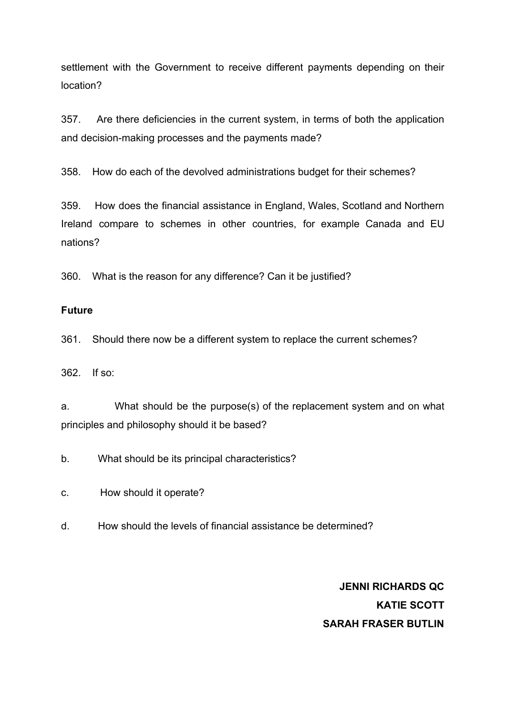settlement with the Government to receive different payments depending on their location?

357. Are there deficiencies in the current system, in terms of both the application and decision-making processes and the payments made?

358. How do each of the devolved administrations budget for their schemes?

359. How does the financial assistance in England, Wales, Scotland and Northern Ireland compare to schemes in other countries, for example Canada and EU nations?

360. What is the reason for any difference? Can it be justified?

### <span id="page-63-0"></span>**Future**

361. Should there now be a different system to replace the current schemes?

362. If so:

a. What should be the purpose(s) of the replacement system and on what principles and philosophy should it be based?

b. What should be its principal characteristics?

c. How should it operate?

d. How should the levels of financial assistance be determined?

**JENNI RICHARDS QC KATIE SCOTT SARAH FRASER BUTLIN**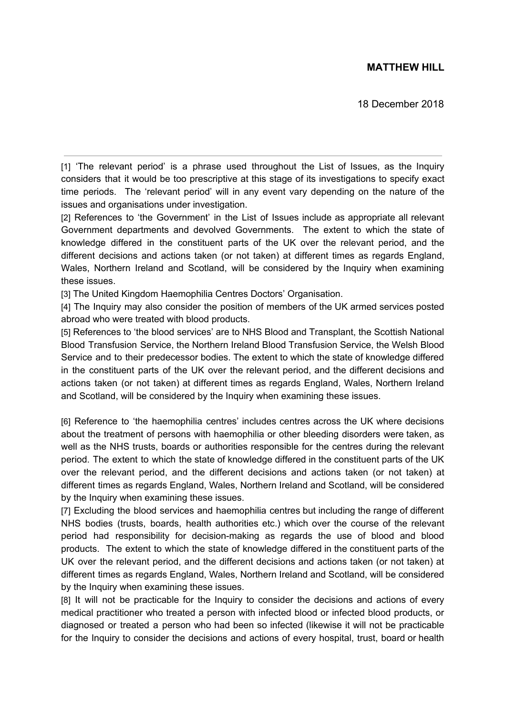## **MATTHEW HILL**

18 December 2018

[1] 'The relevant period' is a phrase used throughout the List of Issues, as the Inquiry considers that it would be too prescriptive at this stage of its investigations to specify exact time periods. The 'relevant period' will in any event vary depending on the nature of the issues and organisations under investigation.

[2] References to 'the Government' in the List of Issues include as appropriate all relevant Government departments and devolved Governments. The extent to which the state of knowledge differed in the constituent parts of the UK over the relevant period, and the different decisions and actions taken (or not taken) at different times as regards England, Wales, Northern Ireland and Scotland, will be considered by the Inquiry when examining these issues.

[3] The United Kingdom Haemophilia Centres Doctors' Organisation.

[4] The Inquiry may also consider the position of members of the UK armed services posted abroad who were treated with blood products.

[5] References to 'the blood services' are to NHS Blood and Transplant, the Scottish National Blood Transfusion Service, the Northern Ireland Blood Transfusion Service, the Welsh Blood Service and to their predecessor bodies. The extent to which the state of knowledge differed in the constituent parts of the UK over the relevant period, and the different decisions and actions taken (or not taken) at different times as regards England, Wales, Northern Ireland and Scotland, will be considered by the Inquiry when examining these issues.

[6] Reference to 'the haemophilia centres' includes centres across the UK where decisions about the treatment of persons with haemophilia or other bleeding disorders were taken, as well as the NHS trusts, boards or authorities responsible for the centres during the relevant period. The extent to which the state of knowledge differed in the constituent parts of the UK over the relevant period, and the different decisions and actions taken (or not taken) at different times as regards England, Wales, Northern Ireland and Scotland, will be considered by the Inquiry when examining these issues.

[7] Excluding the blood services and haemophilia centres but including the range of different NHS bodies (trusts, boards, health authorities etc.) which over the course of the relevant period had responsibility for decision-making as regards the use of blood and blood products. The extent to which the state of knowledge differed in the constituent parts of the UK over the relevant period, and the different decisions and actions taken (or not taken) at different times as regards England, Wales, Northern Ireland and Scotland, will be considered by the Inquiry when examining these issues.

[8] It will not be practicable for the Inquiry to consider the decisions and actions of every medical practitioner who treated a person with infected blood or infected blood products, or diagnosed or treated a person who had been so infected (likewise it will not be practicable for the Inquiry to consider the decisions and actions of every hospital, trust, board or health